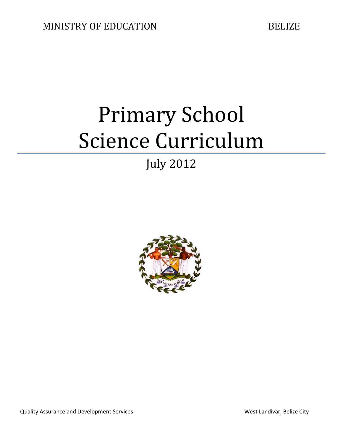# Primary School Science Curriculum

# July 2012



Quality Assurance and Development Services Number 2012 1999 and Message West Landivar, Belize City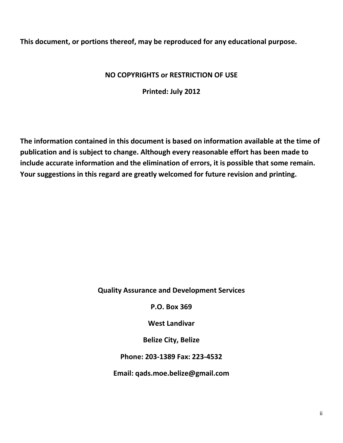**This document, or portions thereof, may be reproduced for any educational purpose.**

## **NO COPYRIGHTS or RESTRICTION OF USE**

**Printed: July 2012**

**The information contained in this document is based on information available at the time of publication and is subject to change. Although every reasonable effort has been made to include accurate information and the elimination of errors, it is possible that some remain. Your suggestions in this regard are greatly welcomed for future revision and printing.**

**Quality Assurance and Development Services**

**P.O. Box 369**

**West Landivar**

**Belize City, Belize**

**Phone: 203-1389 Fax: 223-4532** 

**Email: qads.moe.belize@gmail.com**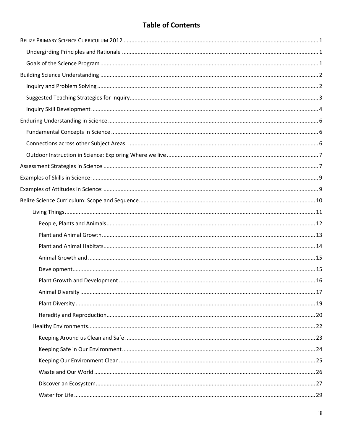## **Table of Contents**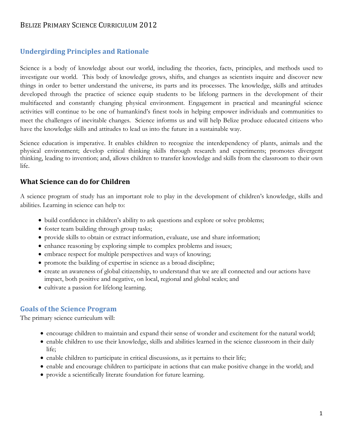## <span id="page-4-0"></span>BELIZE PRIMARY SCIENCE CURRICULUM 2012

## <span id="page-4-1"></span>**Undergirding Principles and Rationale**

Science is a body of knowledge about our world, including the theories, facts, principles, and methods used to investigate our world. This body of knowledge grows, shifts, and changes as scientists inquire and discover new things in order to better understand the universe, its parts and its processes. The knowledge, skills and attitudes developed through the practice of science equip students to be lifelong partners in the development of their multifaceted and constantly changing physical environment. Engagement in practical and meaningful science activities will continue to be one of humankind's finest tools in helping empower individuals and communities to meet the challenges of inevitable changes. Science informs us and will help Belize produce educated citizens who have the knowledge skills and attitudes to lead us into the future in a sustainable way.

Science education is imperative. It enables children to recognize the interdependency of plants, animals and the physical environment; develop critical thinking skills through research and experiments; promotes divergent thinking, leading to invention; and, allows children to transfer knowledge and skills from the classroom to their own life.

### **What Science can do for Children**

A science program of study has an important role to play in the development of children's knowledge, skills and abilities. Learning in science can help to:

- build confidence in children's ability to ask questions and explore or solve problems;
- foster team building through group tasks;
- provide skills to obtain or extract information, evaluate, use and share information;
- enhance reasoning by exploring simple to complex problems and issues;
- embrace respect for multiple perspectives and ways of knowing;
- promote the building of expertise in science as a broad discipline;
- create an awareness of global citizenship, to understand that we are all connected and our actions have impact, both positive and negative, on local, regional and global scales; and
- cultivate a passion for lifelong learning.

#### <span id="page-4-2"></span>**Goals of the Science Program**

The primary science curriculum will:

- encourage children to maintain and expand their sense of wonder and excitement for the natural world;
- enable children to use their knowledge, skills and abilities learned in the science classroom in their daily life;
- enable children to participate in critical discussions, as it pertains to their life;
- enable and encourage children to participate in actions that can make positive change in the world; and
- provide a scientifically literate foundation for future learning.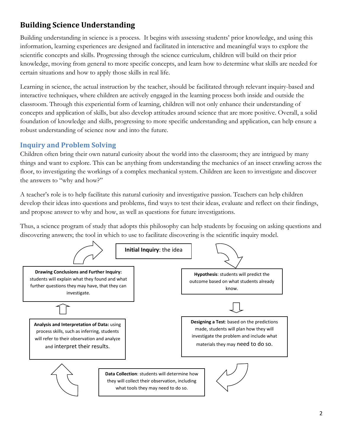## <span id="page-5-0"></span>**Building Science Understanding**

Building understanding in science is a process. It begins with assessing students' prior knowledge, and using this information, learning experiences are designed and facilitated in interactive and meaningful ways to explore the scientific concepts and skills. Progressing through the science curriculum, children will build on their prior knowledge, moving from general to more specific concepts, and learn how to determine what skills are needed for certain situations and how to apply those skills in real life.

Learning in science, the actual instruction by the teacher, should be facilitated through relevant inquiry-based and interactive techniques, where children are actively engaged in the learning process both inside and outside the classroom. Through this experiential form of learning, children will not only enhance their understanding of concepts and application of skills, but also develop attitudes around science that are more positive. Overall, a solid foundation of knowledge and skills, progressing to more specific understanding and application, can help ensure a robust understanding of science now and into the future.

## <span id="page-5-1"></span>**Inquiry and Problem Solving**

Children often bring their own natural curiosity about the world into the classroom; they are intrigued by many things and want to explore. This can be anything from understanding the mechanics of an insect crawling across the floor, to investigating the workings of a complex mechanical system. Children are keen to investigate and discover the answers to "why and how?"

A teacher's role is to help facilitate this natural curiosity and investigative passion. Teachers can help children develop their ideas into questions and problems, find ways to test their ideas, evaluate and reflect on their findings, and propose answer to why and how, as well as questions for future investigations.

Thus, a science program of study that adopts this philosophy can help students by focusing on asking questions and discovering answers; the tool in which to use to facilitate discovering is the scientific inquiry model.

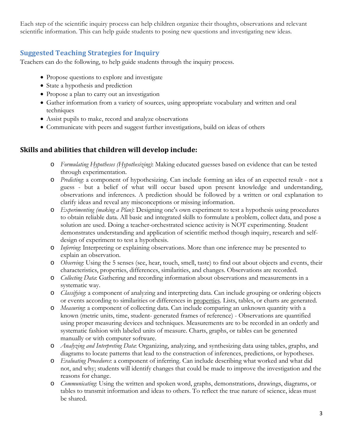Each step of the scientific inquiry process can help children organize their thoughts, observations and relevant scientific information. This can help guide students to posing new questions and investigating new ideas.

## <span id="page-6-0"></span>**Suggested Teaching Strategies for Inquiry**

Teachers can do the following, to help guide students through the inquiry process.

- Propose questions to explore and investigate
- State a hypothesis and prediction
- Propose a plan to carry out an investigation
- Gather information from a variety of sources, using appropriate vocabulary and written and oral techniques
- Assist pupils to make, record and analyze observations
- Communicate with peers and suggest further investigations, build on ideas of others

## **Skills and abilities that children will develop include:**

- o *Formulating Hypotheses (Hypothesizing)*: Making educated guesses based on evidence that can be tested through experimentation.
- o *Predicting*: a component of hypothesizing. Can include forming an idea of an expected result not a guess - but a belief of what will occur based upon present knowledge and understanding, observations and inferences. A prediction should be followed by a written or oral explanation to clarify ideas and reveal any misconceptions or missing information.
- o *Experimenting (making a Plan)*: Designing one's own experiment to test a hypothesis using procedures to obtain reliable data. All basic and integrated skills to formulate a problem, collect data, and pose a solution are used. Doing a teacher-orchestrated science activity is NOT experimenting. Student demonstrates understanding and application of scientific method though inquiry, research and selfdesign of experiment to test a hypothesis.
- o *Inferring*: Interpreting or explaining observations. More than one inference may be presented to explain an observation.
- o *Observing*: Using the 5 senses (see, hear, touch, smell, taste) to find out about objects and events, their characteristics, properties, differences, similarities, and changes. Observations are recorded.
- o *Collecting Data*: Gathering and recording information about observations and measurements in a systematic way.
- o *Classifying*: a component of analyzing and interpreting data. Can include grouping or ordering objects or events according to similarities or differences in properties. Lists, tables, or charts are generated.
- o *Measuring*: a component of collecting data. Can include comparing an unknown quantity with a known (metric units, time, student- generated frames of reference) - Observations are quantified using proper measuring devices and techniques. Measurements are to be recorded in an orderly and systematic fashion with labeled units of measure. Charts, graphs, or tables can be generated manually or with computer software.
- o *Analyzing and Interpreting Data*: Organizing, analyzing, and synthesizing data using tables, graphs, and diagrams to locate patterns that lead to the construction of inferences, predictions, or hypotheses.
- o *Evaluating Procedures*: a component of inferring. Can include describing what worked and what did not, and why; students will identify changes that could be made to improve the investigation and the reasons for change.
- o *Communicating*: Using the written and spoken word, graphs, demonstrations, drawings, diagrams, or tables to transmit information and ideas to others. To reflect the true nature of science, ideas must be shared.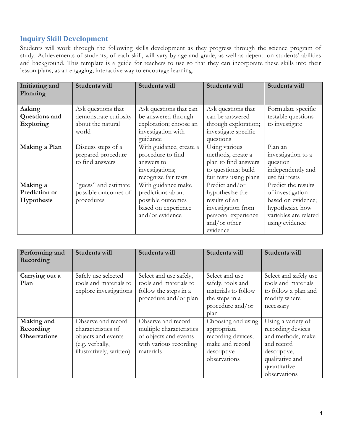## <span id="page-7-0"></span>**Inquiry Skill Development**

Students will work through the following skills development as they progress through the science program of study. Achievements of students, of each skill, will vary by age and grade, as well as depend on students' abilities and background. This template is a guide for teachers to use so that they can incorporate these skills into their lesson plans, as an engaging, interactive way to encourage learning.

| Initiating and<br>Planning | Students will         | Students will           | Students will          | <b>Students will</b>  |
|----------------------------|-----------------------|-------------------------|------------------------|-----------------------|
|                            |                       |                         |                        |                       |
| Asking                     | Ask questions that    | Ask questions that can  | Ask questions that     | Formulate specific    |
| Questions and              | demonstrate curiosity | be answered through     | can be answered        | testable questions    |
| <b>Exploring</b>           | about the natural     | exploration; choose an  | through exploration;   | to investigate        |
|                            | world                 | investigation with      | investigate specific   |                       |
|                            |                       | guidance                | questions              |                       |
| Making a Plan              | Discuss steps of a    | With guidance, create a | Using various          | Plan an               |
|                            | prepared procedure    | procedure to find       | methods, create a      | investigation to a    |
|                            | to find answers       | answers to              | plan to find answers   | question              |
|                            |                       | investigations;         | to questions; build    | independently and     |
|                            |                       | recognize fair tests    | fair tests using plans | use fair tests        |
| Making a                   | "guess" and estimate  | With guidance make      | Predict and/or         | Predict the results   |
| Prediction or              | possible outcomes of  | predictions about       | hypothesize the        | of investigation      |
| Hypothesis                 | procedures            | possible outcomes       | results of an          | based on evidence;    |
|                            |                       | based on experience     | investigation from     | hypothesize how       |
|                            |                       | and/or evidence         | personal experience    | variables are related |
|                            |                       |                         | and/or other           | using evidence        |
|                            |                       |                         | evidence               |                       |

| Performing and<br>Recording                    | Students will                                                                                                 | Students will                                                                                                  | <b>Students will</b>                                                                                      | Students will                                                                                                                                 |
|------------------------------------------------|---------------------------------------------------------------------------------------------------------------|----------------------------------------------------------------------------------------------------------------|-----------------------------------------------------------------------------------------------------------|-----------------------------------------------------------------------------------------------------------------------------------------------|
| Carrying out a<br>Plan                         | Safely use selected<br>tools and materials to<br>explore investigations                                       | Select and use safely,<br>tools and materials to<br>follow the steps in a<br>procedure and/or plan             | Select and use<br>safely, tools and<br>materials to follow<br>the steps in a<br>procedure and/or<br>plan  | Select and safely use<br>tools and materials<br>to follow a plan and<br>modify where<br>necessary                                             |
| Making and<br>Recording<br><b>Observations</b> | Observe and record<br>characteristics of<br>objects and events<br>(e.g. verbally,<br>illustratively, written) | Observe and record<br>multiple characteristics<br>of objects and events<br>with various recording<br>materials | Choosing and using<br>appropriate<br>recording devices,<br>make and record<br>descriptive<br>observations | Using a variety of<br>recording devices<br>and methods, make<br>and record<br>descriptive,<br>qualitative and<br>quantitative<br>observations |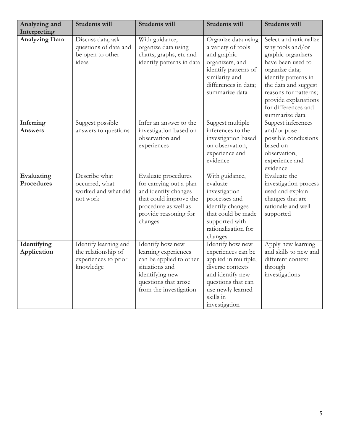| Analyzing and               | <b>Students will</b>                                                              | <b>Students will</b>                                                                                                                                         | <b>Students will</b>                                                                                                                                                            | Students will                                                                                                                                                                                                                                     |
|-----------------------------|-----------------------------------------------------------------------------------|--------------------------------------------------------------------------------------------------------------------------------------------------------------|---------------------------------------------------------------------------------------------------------------------------------------------------------------------------------|---------------------------------------------------------------------------------------------------------------------------------------------------------------------------------------------------------------------------------------------------|
| Interpreting                |                                                                                   |                                                                                                                                                              |                                                                                                                                                                                 |                                                                                                                                                                                                                                                   |
| <b>Analyzing Data</b>       | Discuss data, ask<br>questions of data and<br>be open to other<br>ideas           | With guidance,<br>organize data using<br>charts, graphs, etc and<br>identify patterns in data                                                                | Organize data using<br>a variety of tools<br>and graphic<br>organizers, and<br>identify patterns of<br>similarity and<br>differences in data;<br>summarize data                 | Select and rationalize<br>why tools and/or<br>graphic organizers<br>have been used to<br>organize data;<br>identify patterns in<br>the data and suggest<br>reasons for patterns;<br>provide explanations<br>for differences and<br>summarize data |
| Inferring<br><b>Answers</b> | Suggest possible<br>answers to questions                                          | Infer an answer to the<br>investigation based on<br>observation and<br>experiences                                                                           | Suggest multiple<br>inferences to the<br>investigation based<br>on observation,<br>experience and<br>evidence                                                                   | Suggest inferences<br>and/or pose<br>possible conclusions<br>based on<br>observation,<br>experience and<br>evidence                                                                                                                               |
| Evaluating<br>Procedures    | Describe what<br>occurred, what<br>worked and what did<br>not work                | Evaluate procedures<br>for carrying out a plan<br>and identify changes<br>that could improve the<br>procedure as well as<br>provide reasoning for<br>changes | With guidance,<br>evaluate<br>investigation<br>processes and<br>identify changes<br>that could be made<br>supported with<br>rationalization for<br>changes                      | Evaluate the<br>investigation process<br>used and explain<br>changes that are<br>rationale and well<br>supported                                                                                                                                  |
| Identifying<br>Application  | Identify learning and<br>the relationship of<br>experiences to prior<br>knowledge | Identify how new<br>learning experiences<br>can be applied to other<br>situations and<br>identifying new<br>questions that arose<br>from the investigation   | Identify how new<br>experiences can be<br>applied in multiple,<br>diverse contexts<br>and identify new<br>questions that can<br>use newly learned<br>skills in<br>investigation | Apply new learning<br>and skills to new and<br>different context<br>through<br>investigations                                                                                                                                                     |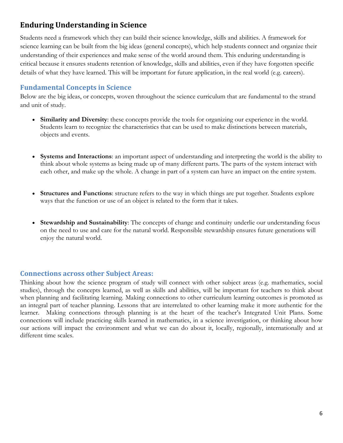## <span id="page-9-0"></span>**Enduring Understanding in Science**

Students need a framework which they can build their science knowledge, skills and abilities. A framework for science learning can be built from the big ideas (general concepts), which help students connect and organize their understanding of their experiences and make sense of the world around them. This enduring understanding is critical because it ensures students retention of knowledge, skills and abilities, even if they have forgotten specific details of what they have learned. This will be important for future application, in the real world (e.g. careers).

### <span id="page-9-1"></span>**Fundamental Concepts in Science**

Below are the big ideas, or concepts, woven throughout the science curriculum that are fundamental to the strand and unit of study.

- **Similarity and Diversity**: these concepts provide the tools for organizing our experience in the world. Students learn to recognize the characteristics that can be used to make distinctions between materials, objects and events.
- **Systems and Interactions**: an important aspect of understanding and interpreting the world is the ability to think about whole systems as being made up of many different parts. The parts of the system interact with each other, and make up the whole. A change in part of a system can have an impact on the entire system.
- **Structures and Functions**: structure refers to the way in which things are put together. Students explore ways that the function or use of an object is related to the form that it takes.
- **Stewardship and Sustainability**: The concepts of change and continuity underlie our understanding focus on the need to use and care for the natural world. Responsible stewardship ensures future generations will enjoy the natural world.

### <span id="page-9-2"></span>**Connections across other Subject Areas:**

Thinking about how the science program of study will connect with other subject areas (e.g. mathematics, social studies), through the concepts learned, as well as skills and abilities, will be important for teachers to think about when planning and facilitating learning. Making connections to other curriculum learning outcomes is promoted as an integral part of teacher planning. Lessons that are interrelated to other learning make it more authentic for the learner. Making connections through planning is at the heart of the teacher's Integrated Unit Plans. Some connections will include practicing skills learned in mathematics, in a science investigation, or thinking about how our actions will impact the environment and what we can do about it, locally, regionally, internationally and at different time scales.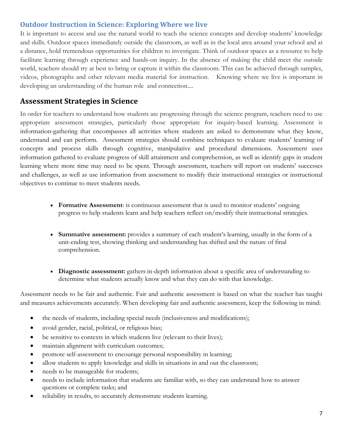## <span id="page-10-0"></span>**Outdoor Instruction in Science: Exploring Where we live**

It is important to access and use the natural world to teach the science concepts and develop students' knowledge and skills. Outdoor spaces immediately outside the classroom, as well as in the local area around your school and at a distance, hold tremendous opportunities for children to investigate. Think of outdoor spaces as a resource to help facilitate learning through experience and hands-on inquiry. In the absence of making the child meet the outside world, teachers should try at best to bring or capture it within the classroom. This can be achieved through samples, videos, photographs and other relevant media material for instruction. Knowing where we live is important in developing an understanding of the human role and connection....

## <span id="page-10-1"></span>**Assessment Strategies in Science**

In order for teachers to understand how students are progressing through the science program, teachers need to use appropriate assessment strategies, particularly those appropriate for inquiry-based learning. Assessment is information-gathering that encompasses all activities where students are asked to demonstrate what they know, understand and can perform. Assessment strategies should combine techniques to evaluate students' learning of concepts and process skills through cognitive, manipulative and procedural dimensions. Assessment uses information gathered to evaluate progress of skill attainment and comprehension, as well as identify gaps in student learning where more time may need to be spent. Through assessment, teachers will report on students' successes and challenges, as well as use information from assessment to modify their instructional strategies or instructional objectives to continue to meet students needs.

- **Formative Assessment**: is continuous assessment that is used to monitor students' ongoing progress to help students learn and help teachers reflect on/modify their instructional strategies.
- **Summative assessment:** provides a summary of each student's learning, usually in the form of a unit-ending test, showing thinking and understanding has shifted and the nature of final comprehension.
- **Diagnostic assessment:** gathers in-depth information about a specific area of understanding to determine what students actually know and what they can do with that knowledge.

Assessment needs to be fair and authentic. Fair and authentic assessment is based on what the teacher has taught and measures achievements accurately. When developing fair and authentic assessment, keep the following in mind:

- the needs of students, including special needs (inclusiveness and modifications);
- avoid gender, racial, political, or religious bias;
- be sensitive to contexts in which students live (relevant to their lives);
- maintain alignment with curriculum outcomes;
- promote self-assessment to encourage personal responsibility in learning;
- allow students to apply knowledge and skills in situations in and out the classroom;
- needs to be manageable for students;
- needs to include information that students are familiar with, so they can understand how to answer questions or complete tasks; and
- reliability in results, to accurately demonstrate students learning.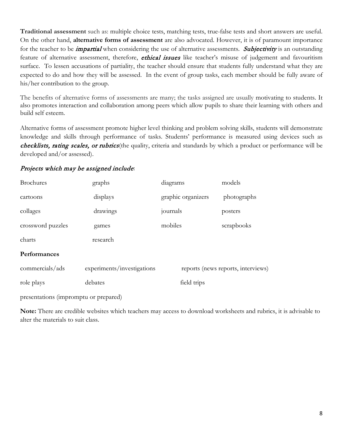**Traditional assessment** such as: multiple choice tests, matching tests, true-false tests and short answers are useful. On the other hand, **alternative forms of assessment** are also advocated. However, it is of paramount importance for the teacher to be *impartial* when considering the use of alternative assessments. Subjectivity is an outstanding feature of alternative assessment, therefore, *ethical issues* like teacher's misuse of judgement and favouritism surface. To lessen accusations of partiality, the teacher should ensure that students fully understand what they are expected to do and how they will be assessed. In the event of group tasks, each member should be fully aware of his/her contribution to the group.

The benefits of alternative forms of assessments are many; the tasks assigned are usually motivating to students. It also promotes interaction and collaboration among peers which allow pupils to share their learning with others and build self esteem.

Alternative forms of assessment promote higher level thinking and problem solving skills, students will demonstrate knowledge and skills through performance of tasks. Students' performance is measured using devices such as checklists, rating scales, or rubrics(the quality, criteria and standards by which a product or performance will be developed and/or assessed).

## Projects which may be assigned include:

| <b>Brochures</b>  | graphs                     | diagrams           | models                             |
|-------------------|----------------------------|--------------------|------------------------------------|
| cartoons          | displays                   | graphic organizers | photographs                        |
| collages          | drawings                   | journals           | posters                            |
| crossword puzzles | games                      | mobiles            | scrapbooks                         |
| charts            | research                   |                    |                                    |
| Performances      |                            |                    |                                    |
| commercials/ads   | experiments/investigations |                    | reports (news reports, interviews) |
| role plays        | debates                    | field trips        |                                    |

presentations (impromptu or prepared)

**Note:** There are credible websites which teachers may access to download worksheets and rubrics, it is advisable to alter the materials to suit class.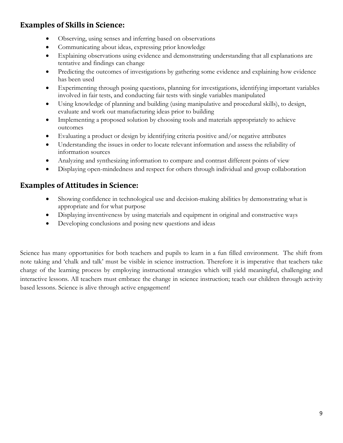## <span id="page-12-0"></span>**Examples of Skills in Science:**

- Observing, using senses and inferring based on observations
- Communicating about ideas, expressing prior knowledge
- Explaining observations using evidence and demonstrating understanding that all explanations are tentative and findings can change
- Predicting the outcomes of investigations by gathering some evidence and explaining how evidence has been used
- Experimenting through posing questions, planning for investigations, identifying important variables involved in fair tests, and conducting fair tests with single variables manipulated
- Using knowledge of planning and building (using manipulative and procedural skills), to design, evaluate and work out manufacturing ideas prior to building
- Implementing a proposed solution by choosing tools and materials appropriately to achieve outcomes
- Evaluating a product or design by identifying criteria positive and/or negative attributes
- Understanding the issues in order to locate relevant information and assess the reliability of information sources
- Analyzing and synthesizing information to compare and contrast different points of view
- Displaying open-mindedness and respect for others through individual and group collaboration

## <span id="page-12-1"></span>**Examples of Attitudes in Science:**

- Showing confidence in technological use and decision-making abilities by demonstrating what is appropriate and for what purpose
- Displaying inventiveness by using materials and equipment in original and constructive ways
- Developing conclusions and posing new questions and ideas

Science has many opportunities for both teachers and pupils to learn in a fun filled environment. The shift from note taking and 'chalk and talk' must be visible in science instruction. Therefore it is imperative that teachers take charge of the learning process by employing instructional strategies which will yield meaningful, challenging and interactive lessons. All teachers must embrace the change in science instruction; teach our children through activity based lessons. Science is alive through active engagement!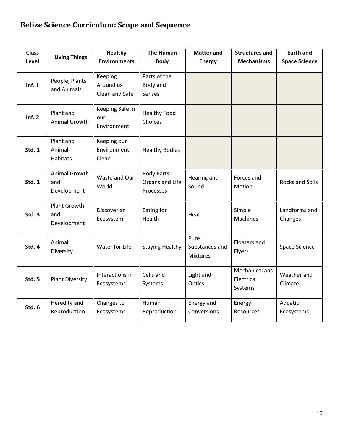## <span id="page-13-0"></span>**Belize Science Curriculum: Scope and Sequence**

| <b>Class</b><br>Level | <b>Living Things</b>                   | <b>Healthy</b><br><b>Environments</b>  | <b>The Human</b><br><b>Body</b>                   | <b>Matter and</b><br><b>Energy</b>        | <b>Structures and</b><br><b>Mechanisms</b> | <b>Earth and</b><br><b>Space Science</b> |
|-----------------------|----------------------------------------|----------------------------------------|---------------------------------------------------|-------------------------------------------|--------------------------------------------|------------------------------------------|
| Inf. $1$              | People, Plants<br>and Animals          | Keeping<br>Around us<br>Clean and Safe | Parts of the<br>Body and<br>Senses                |                                           |                                            |                                          |
| Inf. 2                | Plant and<br>Animal Growth             | Keeping Safe in<br>our<br>Environment  | <b>Healthy Food</b><br>Choices                    |                                           |                                            |                                          |
| <b>Std. 1</b>         | Plant and<br>Animal<br><b>Habitats</b> | Keeping our<br>Environment<br>Clean    | <b>Healthy Bodies</b>                             |                                           |                                            |                                          |
| Std. 2                | Animal Growth<br>and<br>Development    | Waste and Our<br>World                 | <b>Body Parts</b><br>Organs and Life<br>Processes | Hearing and<br>Sound                      | Forces and<br>Motion                       | <b>Rocks and Soils</b>                   |
| Std. 3                | Plant Growth<br>and<br>Development     | Discover an<br>Ecosystem               | Eating for<br>Health                              | Heat                                      | Simple<br><b>Machines</b>                  | Landforms and<br>Changes                 |
| Std. 4                | Animal<br>Diversity                    | Water for Life                         | <b>Staying Healthy</b>                            | Pure<br>Substances and<br><b>Mixtures</b> | Floaters and<br>Flyers                     | Space Science                            |
| <b>Std. 5</b>         | <b>Plant Diversity</b>                 | Interactions in<br>Ecosystems          | Cells and<br>Systems                              | Light and<br>Optics                       | Mechanical and<br>Electrical<br>Systems    | Weather and<br>Climate                   |
| Std. 6                | Heredity and<br>Reproduction           | Changes to<br>Ecosystems               | Human<br>Reproduction                             | Energy and<br>Conversions                 | Energy<br>Resources                        | Aquatic<br>Ecosystems                    |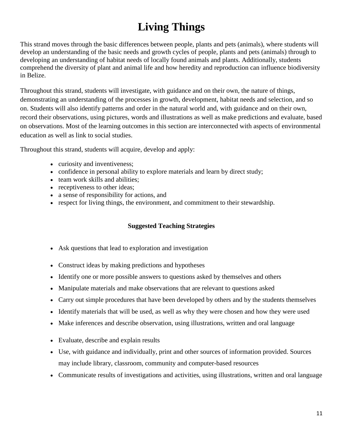# **Living Things**

<span id="page-14-0"></span>This strand moves through the basic differences between people, plants and pets (animals), where students will develop an understanding of the basic needs and growth cycles of people, plants and pets (animals) through to developing an understanding of habitat needs of locally found animals and plants. Additionally, students comprehend the diversity of plant and animal life and how heredity and reproduction can influence biodiversity in Belize.

Throughout this strand, students will investigate, with guidance and on their own, the nature of things, demonstrating an understanding of the processes in growth, development, habitat needs and selection, and so on. Students will also identify patterns and order in the natural world and, with guidance and on their own, record their observations, using pictures, words and illustrations as well as make predictions and evaluate, based on observations. Most of the learning outcomes in this section are interconnected with aspects of environmental education as well as link to social studies.

Throughout this strand, students will acquire, develop and apply:

- curiosity and inventiveness;
- confidence in personal ability to explore materials and learn by direct study;
- team work skills and abilities;
- receptiveness to other ideas;
- a sense of responsibility for actions, and
- respect for living things, the environment, and commitment to their stewardship.

### **Suggested Teaching Strategies**

- Ask questions that lead to exploration and investigation
- Construct ideas by making predictions and hypotheses
- Identify one or more possible answers to questions asked by themselves and others
- Manipulate materials and make observations that are relevant to questions asked
- Carry out simple procedures that have been developed by others and by the students themselves
- Identify materials that will be used, as well as why they were chosen and how they were used
- Make inferences and describe observation, using illustrations, written and oral language
- Evaluate, describe and explain results
- Use, with guidance and individually, print and other sources of information provided. Sources may include library, classroom, community and computer-based resources
- Communicate results of investigations and activities, using illustrations, written and oral language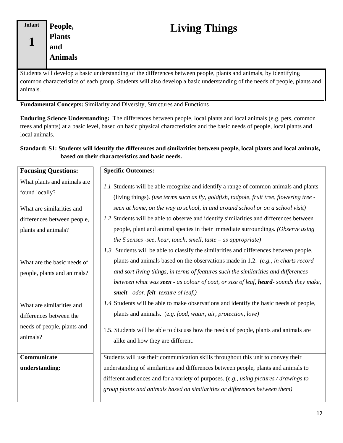# **Living Things**

<span id="page-15-0"></span>Students will develop a basic understanding of the differences between people, plants and animals, by identifying common characteristics of each group. Students will also develop a basic understanding of the needs of people, plants and animals.

**Fundamental Concepts:** Similarity and Diversity, Structures and Functions

**Enduring Science Understanding:** The differences between people, local plants and local animals (e.g. pets, common trees and plants) at a basic level, based on basic physical characteristics and the basic needs of people, local plants and local animals.

## **Standard: S1: Students will identify the differences and similarities between people, local plants and local animals, based on their characteristics and basic needs.**

| <b>Focusing Questions:</b>                                                                                         | <b>Specific Outcomes:</b>                                                                                                                                                                                                                                                                                                                                                                                                                                          |
|--------------------------------------------------------------------------------------------------------------------|--------------------------------------------------------------------------------------------------------------------------------------------------------------------------------------------------------------------------------------------------------------------------------------------------------------------------------------------------------------------------------------------------------------------------------------------------------------------|
| What plants and animals are<br>found locally?<br>What are similarities and<br>differences between people,          | 1.1 Students will be able recognize and identify a range of common animals and plants<br>(living things). (use terms such as fly, goldfish, tadpole, fruit tree, flowering tree -<br>seen at home, on the way to school, in and around school or on a school visit)<br>1.2 Students will be able to observe and identify similarities and differences between                                                                                                      |
| plants and animals?                                                                                                | people, plant and animal species in their immediate surroundings. (Observe using<br>the 5 senses -see, hear, touch, smell, taste $-$ as appropriate)<br>1.3 Students will be able to classify the similarities and differences between people,                                                                                                                                                                                                                     |
| What are the basic needs of<br>people, plants and animals?<br>What are similarities and<br>differences between the | plants and animals based on the observations made in 1.2. (e.g., in charts record<br>and sort living things, in terms of features such the similarities and differences<br>between what was seen - as colour of coat, or size of leaf, heard- sounds they make,<br>smelt - odor, felt-texture of leaf.)<br>1.4 Students will be able to make observations and identify the basic needs of people,<br>plants and animals. (e.g. food, water, air, protection, love) |
| needs of people, plants and<br>animals?                                                                            | 1.5. Students will be able to discuss how the needs of people, plants and animals are<br>alike and how they are different.                                                                                                                                                                                                                                                                                                                                         |
| Communicate<br>understanding:                                                                                      | Students will use their communication skills throughout this unit to convey their<br>understanding of similarities and differences between people, plants and animals to<br>different audiences and for a variety of purposes. (e.g., using pictures / drawings to<br>group plants and animals based on similarities or differences between them)                                                                                                                  |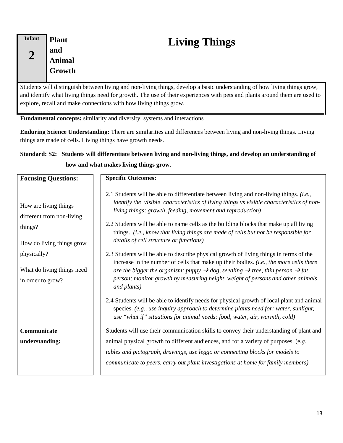<span id="page-16-0"></span>

| Infant | <b>Plant</b>  |
|--------|---------------|
|        | and           |
|        | <b>Animal</b> |
|        | Growth        |
|        |               |

# **Living Things**

Students will distinguish between living and non-living things, develop a basic understanding of how living things grow, and identify what living things need for growth. The use of their experiences with pets and plants around them are used to explore, recall and make connections with how living things grow.

**Fundamental concepts:** similarity and diversity, systems and interactions

**Enduring Science Understanding:** There are similarities and differences between living and non-living things. Living things are made of cells. Living things have growth needs.

## **Standard: S2: Students will differentiate between living and non-living things, and develop an understanding of how and what makes living things grow.**

| <b>Focusing Questions:</b>                                                                 | <b>Specific Outcomes:</b>                                                                                                                                                                                                                                                                                                                                                                                                                                                              |
|--------------------------------------------------------------------------------------------|----------------------------------------------------------------------------------------------------------------------------------------------------------------------------------------------------------------------------------------------------------------------------------------------------------------------------------------------------------------------------------------------------------------------------------------------------------------------------------------|
| How are living things<br>different from non-living<br>things?<br>How do living things grow | 2.1 Students will be able to differentiate between living and non-living things. ( <i>i.e.</i> ,<br>identify the visible characteristics of living things vs visible characteristics of non-<br>living things; growth, feeding, movement and reproduction)<br>2.2 Students will be able to name cells as the building blocks that make up all living<br>things. (i.e., know that living things are made of cells but not be responsible for<br>details of cell structure or functions) |
| physically?<br>What do living things need<br>in order to grow?                             | 2.3 Students will be able to describe physical growth of living things in terms of the<br>increase in the number of cells that make up their bodies. (i.e., the more cells there<br>are the bigger the organism; puppy $\rightarrow$ dog, seedling $\rightarrow$ tree, thin person $\rightarrow$ fat<br>person; monitor growth by measuring height, weight of persons and other animals<br>and plants)                                                                                 |
|                                                                                            | 2.4 Students will be able to identify needs for physical growth of local plant and animal<br>species. (e.g., use inquiry approach to determine plants need for: water, sunlight;<br>use "what if" situations for animal needs: food, water, air, warmth, cold)                                                                                                                                                                                                                         |
| Communicate<br>understanding:                                                              | Students will use their communication skills to convey their understanding of plant and<br>animal physical growth to different audiences, and for a variety of purposes. (e.g.<br>tables and pictograph, drawings, use leggo or connecting blocks for models to<br>communicate to peers, carry out plant investigations at home for family members)                                                                                                                                    |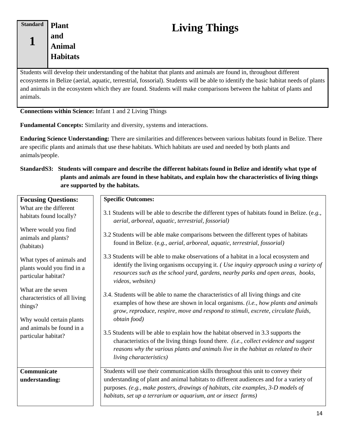<span id="page-17-0"></span>**Standard 1 Plant and Animal Habitats**

# **Living Things**

Students will develop their understanding of the habitat that plants and animals are found in, throughout different ecosystems in Belize (aerial, aquatic, terrestrial, fossorial). Students will be able to identify the basic habitat needs of plants and animals in the ecosystem which they are found. Students will make comparisons between the habitat of plants and animals.

**Connections within Science:** Infant 1 and 2 Living Things

**Fundamental Concepts:** Similarity and diversity, systems and interactions.

**Enduring Science Understanding:** There are similarities and differences between various habitats found in Belize. There are specific plants and animals that use these habitats. Which habitats are used and needed by both plants and animals/people.

#### **StandardS3: Students will compare and describe the different habitats found in Belize and identify what type of plants and animals are found in these habitats, and explain how the characteristics of living things are supported by the habitats.**

| <b>Focusing Questions:</b>                                                                 | <b>Specific Outcomes:</b>                                                                                                                                                                                                                                                                                                          |
|--------------------------------------------------------------------------------------------|------------------------------------------------------------------------------------------------------------------------------------------------------------------------------------------------------------------------------------------------------------------------------------------------------------------------------------|
| What are the different<br>habitats found locally?                                          | 3.1 Students will be able to describe the different types of habitats found in Belize. (e.g.,<br>aerial, arboreal, aquatic, terrestrial, fossorial)                                                                                                                                                                                |
| Where would you find<br>animals and plants?<br>(habitats)                                  | 3.2 Students will be able make comparisons between the different types of habitats<br>found in Belize. (e.g., aerial, arboreal, aquatic, terrestrial, fossorial)                                                                                                                                                                   |
| What types of animals and<br>plants would you find in a<br>particular habitat?             | 3.3 Students will be able to make observations of a habitat in a local ecosystem and<br>identify the living organisms occupying it. ( <i>Use inquiry approach using a variety of</i><br>resources such as the school yard, gardens, nearby parks and open areas, books,<br>videos, websites)                                       |
| What are the seven<br>characteristics of all living<br>things?<br>Why would certain plants | 3.4. Students will be able to name the characteristics of all living things and cite<br>examples of how these are shown in local organisms. (i.e., how plants and animals<br>grow, reproduce, respire, move and respond to stimuli, excrete, circulate fluids,<br>obtain food)                                                     |
| and animals be found in a<br>particular habitat?                                           | 3.5 Students will be able to explain how the habitat observed in 3.3 supports the<br>characteristics of the living things found there. (i.e., collect evidence and suggest<br>reasons why the various plants and animals live in the habitat as related to their<br><i>living characteristics</i> )                                |
| Communicate<br>understanding:                                                              | Students will use their communication skills throughout this unit to convey their<br>understanding of plant and animal habitats to different audiences and for a variety of<br>purposes. (e.g., make posters, drawings of habitats, cite examples, 3-D models of<br>habitats, set up a terrarium or aquarium, ant or insect farms) |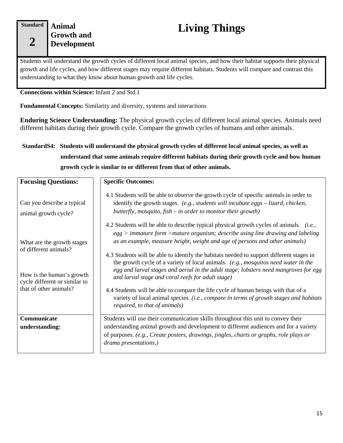#### **Standard**

**2**

## <span id="page-18-1"></span><span id="page-18-0"></span>**Animal Growth and Development**

# **Living Things**

Students will understand the growth cycles of different local animal species, and how their habitat supports their physical growth and life cycles, and how different stages may require different habitats. Students will compare and contrast this understanding to what they know about human growth and life cycles.

#### **Connections within Science:** Infant 2 and Std.1

**Fundamental Concepts:** Similarity and diversity, systems and interactions

**Enduring Science Understanding:** The physical growth cycles of different local animal species. Animals need different habitats during their growth cycle. Compare the growth cycles of humans and other animals.

## **StandardS4: Students will understand the physical growth cycles of different local animal species, as well as understand that some animals require different habitats during their growth cycle and how human growth cycle is similar to or different from that of other animals.**

| <b>Focusing Questions:</b>                                                                                                                  | <b>Specific Outcomes:</b>                                                                                                                                                                                                                                                                                                                                                                                                                                                                                                                                                                                                                                                                                                                                                                                         |
|---------------------------------------------------------------------------------------------------------------------------------------------|-------------------------------------------------------------------------------------------------------------------------------------------------------------------------------------------------------------------------------------------------------------------------------------------------------------------------------------------------------------------------------------------------------------------------------------------------------------------------------------------------------------------------------------------------------------------------------------------------------------------------------------------------------------------------------------------------------------------------------------------------------------------------------------------------------------------|
| Can you describe a typical<br>animal growth cycle?                                                                                          | 4.1 Students will be able to observe the growth cycle of specific animals in order to<br>identify the growth stages. $(e.g., students will include eggs - lizard, chicken,$<br>butterfly, mosquito, fish $-$ in order to monitor their growth)                                                                                                                                                                                                                                                                                                                                                                                                                                                                                                                                                                    |
| What are the growth stages<br>of different animals?<br>How is the human's growth<br>cycle different or similar to<br>that of other animals? | 4.2 Students will be able to describe typical physical growth cycles of animals. <i>(i.e.,</i><br>$egg$ > immature form >mature organism; describe using line drawing and labeling<br>as an example, measure height, weight and age of persons and other animals)<br>4.3 Students will be able to identify the habitats needed to support different stages in<br>the growth cycle of a variety of local animals. (e.g., mosquitos need water in the<br>egg and larval stages and aerial in the adult stage; lobsters need mangroves for egg<br>and larval stage and coral reefs for adult stage)<br>4.4 Students will be able to compare the life cycle of human beings with that of a<br>variety of local animal species. (i.e., compare in terms of growth stages and habitats<br>required, to that of animals) |
| Communicate                                                                                                                                 | Students will use their communication skills throughout this unit to convey their                                                                                                                                                                                                                                                                                                                                                                                                                                                                                                                                                                                                                                                                                                                                 |
| understanding:                                                                                                                              | understanding animal growth and development to different audiences and for a variety<br>of purposes. (e.g., Create posters, drawings, jingles, charts or graphs, role plays or<br>drama presentations.)                                                                                                                                                                                                                                                                                                                                                                                                                                                                                                                                                                                                           |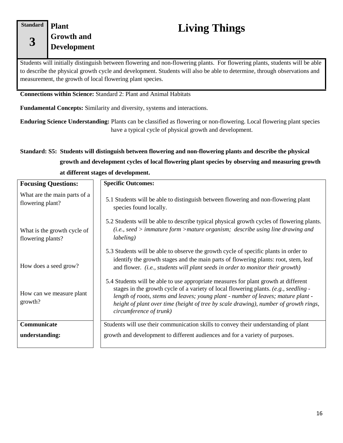#### **Standard**

**3**

## <span id="page-19-0"></span>**Plant Growth and Development**

# **Living Things**

Students will initially distinguish between flowering and non-flowering plants. For flowering plants, students will be able to describe the physical growth cycle and development. Students will also be able to determine, through observations and measurement, the growth of local flowering plant species.

**Connections within Science:** Standard 2: Plant and Animal Habitats

**Fundamental Concepts:** Similarity and diversity, systems and interactions.

**Enduring Science Understanding:** Plants can be classified as flowering or non-flowering. Local flowering plant species have a typical cycle of physical growth and development.

## **Standard: S5: Students will distinguish between flowering and non-flowering plants and describe the physical growth and development cycles of local flowering plant species by observing and measuring growth at different stages of development.**

| <b>Focusing Questions:</b>                       | <b>Specific Outcomes:</b>                                                                                                                                                                                                                                                                                                                                                           |  |
|--------------------------------------------------|-------------------------------------------------------------------------------------------------------------------------------------------------------------------------------------------------------------------------------------------------------------------------------------------------------------------------------------------------------------------------------------|--|
| What are the main parts of a<br>flowering plant? | 5.1 Students will be able to distinguish between flowering and non-flowering plant<br>species found locally.                                                                                                                                                                                                                                                                        |  |
| What is the growth cycle of<br>flowering plants? | 5.2 Students will be able to describe typical physical growth cycles of flowering plants.<br>$(i.e., seed > immature form > mature organism; describe using line drawing and$<br><i>labeling</i> )                                                                                                                                                                                  |  |
| How does a seed grow?                            | 5.3 Students will be able to observe the growth cycle of specific plants in order to<br>identify the growth stages and the main parts of flowering plants: root, stem, leaf<br>and flower. <i>(i.e., students will plant seeds in order to monitor their growth)</i>                                                                                                                |  |
| How can we measure plant<br>growth?              | 5.4 Students will be able to use appropriate measures for plant growth at different<br>stages in the growth cycle of a variety of local flowering plants. (e.g., seedling -<br>length of roots, stems and leaves; young plant - number of leaves; mature plant -<br>height of plant over time (height of tree by scale drawing), number of growth rings,<br>circumference of trunk) |  |
| Communicate<br>understanding:                    | Students will use their communication skills to convey their understanding of plant<br>growth and development to different audiences and for a variety of purposes.                                                                                                                                                                                                                 |  |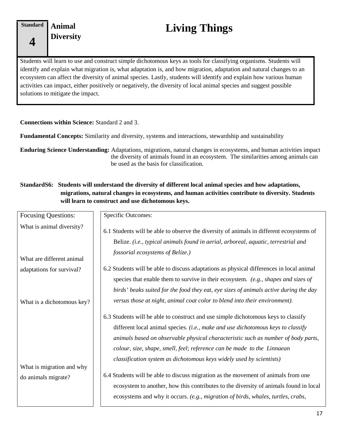**Animal** 

# <span id="page-20-0"></span>**Diversity Living Things**

Students will learn to use and construct simple dichotomous keys as tools for classifying organisms. Students will identify and explain what migration is, what adaptation is, and how migration, adaptation and natural changes to an ecosystem can affect the diversity of animal species. Lastly, students will identify and explain how various human activities can impact, either positively or negatively, the diversity of local animal species and suggest possible solutions to mitigate the impact.

#### **Connections within Science:** Standard 2 and 3.

**Fundamental Concepts:** Similarity and diversity, systems and interactions, stewardship and sustainability

**Enduring Science Understanding:** Adaptations, migrations, natural changes in ecosystems, and human activities impact the diversity of animals found in an ecosystem. The similarities among animals can be used as the basis for classification.

#### **StandardS6: Students will understand the diversity of different local animal species and how adaptations, migrations, natural changes in ecosystems, and human activities contribute to diversity. Students will learn to construct and use dichotomous keys.**

| <b>Focusing Questions:</b> | <b>Specific Outcomes:</b>                                                                |
|----------------------------|------------------------------------------------------------------------------------------|
|                            |                                                                                          |
| What is animal diversity?  | 6.1 Students will be able to observe the diversity of animals in different ecosystems of |
|                            | Belize. (i.e., typical animals found in aerial, arboreal, aquatic, terrestrial and       |
|                            | fossorial ecosystems of Belize.)                                                         |
| What are different animal  |                                                                                          |
| adaptations for survival?  | 6.2 Students will be able to discuss adaptations as physical differences in local animal |
|                            | species that enable them to survive in their ecosystem. $(e.g., shapes and sizes of$     |
|                            | birds' beaks suited for the food they eat, eye sizes of animals active during the day    |
| What is a dichotomous key? | versus those at night, animal coat color to blend into their environment).               |
|                            | 6.3 Students will be able to construct and use simple dichotomous keys to classify       |
|                            | different local animal species. (i.e., make and use dichotomous keys to classify         |
|                            | animals based on observable physical characteristic such as number of body parts,        |
|                            | colour, size, shape, smell, feel; reference can be made to the Linnaean                  |
|                            | classification system as dichotomous keys widely used by scientists)                     |
| What is migration and why  |                                                                                          |
| do animals migrate?        | 6.4 Students will be able to discuss migration as the movement of animals from one       |
|                            | ecosystem to another, how this contributes to the diversity of animals found in local    |
|                            | ecosystems and why it occurs. (e.g., migration of birds, whales, turtles, crabs,         |
|                            |                                                                                          |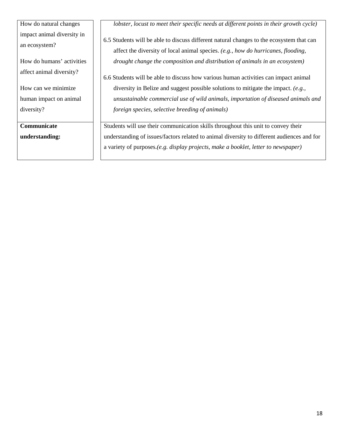How do natural changes impact animal diversity in an ecosystem?

How do humans' activities affect animal diversity?

How can we minimize human impact on animal diversity?

**Communicate understanding:** *lobster, locust to meet their specific needs at different points in their growth cycle)*

6.5 Students will be able to discuss different natural changes to the ecosystem that can affect the diversity of local animal species. *(e.g., how do hurricanes, flooding, drought change the composition and distribution of animals in an ecosystem)*

6.6 Students will be able to discuss how various human activities can impact animal diversity in Belize and suggest possible solutions to mitigate the impact. *(e.g., unsustainable commercial use of wild animals, importation of diseased animals and foreign species, selective breeding of animals)*

Students will use their communication skills throughout this unit to convey their understanding of issues/factors related to animal diversity to different audiences and for a variety of purposes.*(e.g. display projects, make a booklet, letter to newspaper)*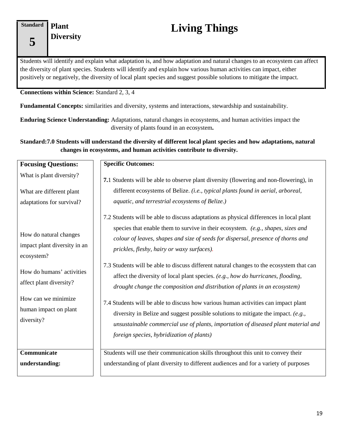# **Plant**

# <span id="page-22-0"></span>**Diversity Living Things**

Students will identify and explain what adaptation is, and how adaptation and natural changes to an ecosystem can affect the diversity of plant species. Students will identify and explain how various human activities can impact, either positively or negatively, the diversity of local plant species and suggest possible solutions to mitigate the impact.

**Connections within Science:** Standard 2, 3, 4

**Fundamental Concepts:** similarities and diversity, systems and interactions, stewardship and sustainability.

**Enduring Science Understanding:** Adaptations, natural changes in ecosystems, and human activities impact the diversity of plants found in an ecosystem**.**

**Standard:7.0 Students will understand the diversity of different local plant species and how adaptations, natural changes in ecosystems, and human activities contribute to diversity.**

| <b>Focusing Questions:</b>                                                                                                                          | <b>Specific Outcomes:</b>                                                                                                                                                                                                                                                                                                                                                                                                                                                                                                                                                                                                                                         |  |
|-----------------------------------------------------------------------------------------------------------------------------------------------------|-------------------------------------------------------------------------------------------------------------------------------------------------------------------------------------------------------------------------------------------------------------------------------------------------------------------------------------------------------------------------------------------------------------------------------------------------------------------------------------------------------------------------------------------------------------------------------------------------------------------------------------------------------------------|--|
| What is plant diversity?                                                                                                                            | 7.1 Students will be able to observe plant diversity (flowering and non-flowering), in                                                                                                                                                                                                                                                                                                                                                                                                                                                                                                                                                                            |  |
| What are different plant<br>adaptations for survival?                                                                                               | different ecosystems of Belize. (i.e., typical plants found in aerial, arboreal,<br>aquatic, and terrestrial ecosystems of Belize.)                                                                                                                                                                                                                                                                                                                                                                                                                                                                                                                               |  |
| How do natural changes<br>impact plant diversity in an<br>ecosystem?<br>How do humans' activities<br>affect plant diversity?<br>How can we minimize | 7.2 Students will be able to discuss adaptations as physical differences in local plant<br>species that enable them to survive in their ecosystem. (e.g., shapes, sizes and<br>colour of leaves, shapes and size of seeds for dispersal, presence of thorns and<br>prickles, fleshy, hairy or waxy surfaces).<br>7.3 Students will be able to discuss different natural changes to the ecosystem that can<br>affect the diversity of local plant species. (e.g., how do hurricanes, flooding,<br>drought change the composition and distribution of plants in an ecosystem)<br>7.4 Students will be able to discuss how various human activities can impact plant |  |
| human impact on plant<br>diversity?                                                                                                                 | diversity in Belize and suggest possible solutions to mitigate the impact. (e.g.,<br>unsustainable commercial use of plants, importation of diseased plant material and<br>foreign species, hybridization of plants)                                                                                                                                                                                                                                                                                                                                                                                                                                              |  |
| Communicate<br>understanding:                                                                                                                       | Students will use their communication skills throughout this unit to convey their<br>understanding of plant diversity to different audiences and for a variety of purposes                                                                                                                                                                                                                                                                                                                                                                                                                                                                                        |  |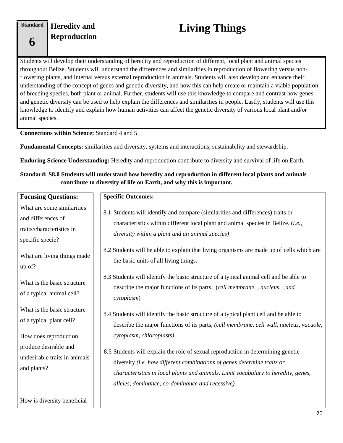**Standard**

**6**

# **Heredity and**

# <span id="page-23-0"></span>**Reproduction Living Things**

Students will develop their understanding of heredity and reproduction of different, local plant and animal species throughout Belize. Students will understand the differences and similarities in reproduction of flowering versus nonflowering plants, and internal versus external reproduction in animals. Students will also develop and enhance their understanding of the concept of genes and genetic diversity, and how this can help create or maintain a viable population of breeding species, both plant or animal. Further, students will use this knowledge to compare and contrast how genes and genetic diversity can be used to help explain the differences and similarities in people. Lastly, students will use this knowledge to identify and explain how human activities can affect the genetic diversity of various local plant and/or animal species.

#### **Connections within Science:** Standard 4 and 5

**Fundamental Concepts:** similarities and diversity, systems and interactions, sustainability and stewardship.

**Enduring Science Understanding:** Heredity and reproduction contribute to diversity and survival of life on Earth.

#### **Standard: S8.0 Students will understand how heredity and reproduction in different local plants and animals contribute to diversity of life on Earth, and why this is important.**

| <b>Focusing Questions:</b>                                                                        | <b>Specific Outcomes:</b>                                                                                                                                                                                                                                                                                                        |  |
|---------------------------------------------------------------------------------------------------|----------------------------------------------------------------------------------------------------------------------------------------------------------------------------------------------------------------------------------------------------------------------------------------------------------------------------------|--|
| What are some similarities<br>and differences of<br>traits/characteristics in<br>specific specie? | 8.1 Students will identify and compare (similarities and differences) traits or<br>characteristics within different local plant and animal species in Belize. (i.e.,<br>diversity within a plant and an animal species)                                                                                                          |  |
| What are living things made<br>up of?                                                             | 8.2 Students will be able to explain that living organisms are made up of cells which are<br>the basic units of all living things.                                                                                                                                                                                               |  |
| What is the basic structure<br>of a typical animal cell?                                          | 8.3 Students will identify the basic structure of a typical animal cell and be able to<br>describe the major functions of its parts. (cell membrane, , nucleus, , and<br>cytoplasm)                                                                                                                                              |  |
| What is the basic structure<br>of a typical plant cell?                                           | 8.4 Students will identify the basic structure of a typical plant cell and be able to<br>describe the major functions of its parts, (cell membrane, cell wall, nucleus, vacuole,                                                                                                                                                 |  |
| How does reproduction<br>produce desirable and<br>undesirable traits in animals<br>and plants?    | cytoplasm, chloroplasts).<br>8.5 Students will explain the role of sexual reproduction in determining genetic<br>diversity (i.e. how different combinations of genes determine traits or<br>characteristics in local plants and animals. Limit vocabulary to heredity, genes,<br>alleles, dominance, co-dominance and recessive) |  |
| How is diversity beneficial                                                                       |                                                                                                                                                                                                                                                                                                                                  |  |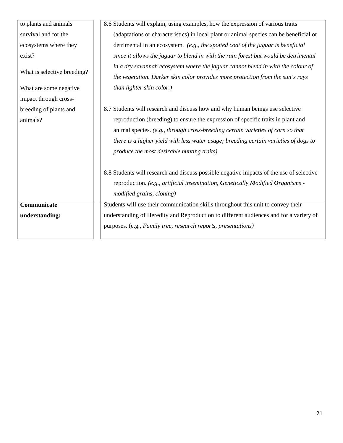| to plants and animals       | 8.6 Students will explain, using examples, how the expression of various traits          |  |  |
|-----------------------------|------------------------------------------------------------------------------------------|--|--|
| survival and for the        | (adaptations or characteristics) in local plant or animal species can be beneficial or   |  |  |
| ecosystems where they       | detrimental in an ecosystem. (e.g., the spotted coat of the jaguar is beneficial         |  |  |
| exist?                      | since it allows the jaguar to blend in with the rain forest but would be detrimental     |  |  |
|                             | in a dry savannah ecosystem where the jaguar cannot blend in with the colour of          |  |  |
| What is selective breeding? | the vegetation. Darker skin color provides more protection from the sun's rays           |  |  |
| What are some negative      | than lighter skin color.)                                                                |  |  |
| impact through cross-       |                                                                                          |  |  |
| breeding of plants and      | 8.7 Students will research and discuss how and why human beings use selective            |  |  |
| animals?                    | reproduction (breeding) to ensure the expression of specific traits in plant and         |  |  |
|                             | animal species. (e.g., through cross-breeding certain varieties of corn so that          |  |  |
|                             | there is a higher yield with less water usage; breeding certain varieties of dogs to     |  |  |
|                             | produce the most desirable hunting traits)                                               |  |  |
|                             | 8.8 Students will research and discuss possible negative impacts of the use of selective |  |  |
|                             | reproduction. (e.g., artificial insemination, Genetically Modified Organisms -           |  |  |
|                             | modified grains, cloning)                                                                |  |  |
| Communicate                 | Students will use their communication skills throughout this unit to convey their        |  |  |
| understanding:              | understanding of Heredity and Reproduction to different audiences and for a variety of   |  |  |
|                             | purposes. (e.g., Family tree, research reports, presentations)                           |  |  |
|                             |                                                                                          |  |  |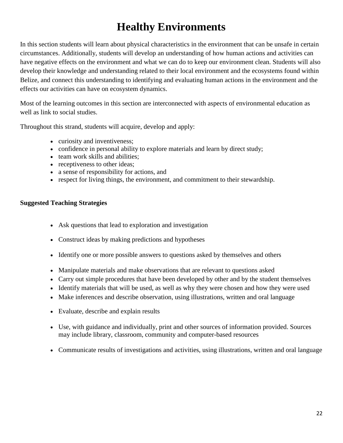## **Healthy Environments**

<span id="page-25-0"></span>In this section students will learn about physical characteristics in the environment that can be unsafe in certain circumstances. Additionally, students will develop an understanding of how human actions and activities can have negative effects on the environment and what we can do to keep our environment clean. Students will also develop their knowledge and understanding related to their local environment and the ecosystems found within Belize, and connect this understanding to identifying and evaluating human actions in the environment and the effects our activities can have on ecosystem dynamics.

Most of the learning outcomes in this section are interconnected with aspects of environmental education as well as link to social studies.

Throughout this strand, students will acquire, develop and apply:

- curiosity and inventiveness;
- confidence in personal ability to explore materials and learn by direct study;
- team work skills and abilities;
- receptiveness to other ideas;
- a sense of responsibility for actions, and
- respect for living things, the environment, and commitment to their stewardship.

#### **Suggested Teaching Strategies**

- Ask questions that lead to exploration and investigation
- Construct ideas by making predictions and hypotheses
- Identify one or more possible answers to questions asked by themselves and others
- Manipulate materials and make observations that are relevant to questions asked
- Carry out simple procedures that have been developed by other and by the student themselves
- Identify materials that will be used, as well as why they were chosen and how they were used
- Make inferences and describe observation, using illustrations, written and oral language
- Evaluate, describe and explain results
- Use, with guidance and individually, print and other sources of information provided. Sources may include library, classroom, community and computer-based resources
- Communicate results of investigations and activities, using illustrations, written and oral language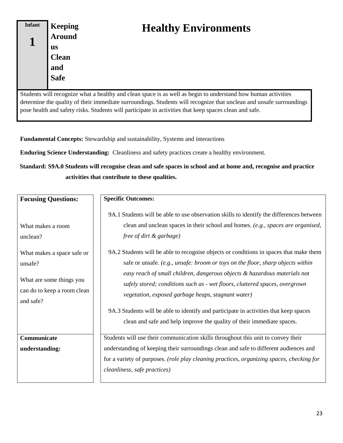<span id="page-26-0"></span>

| <b>Infant</b> | <b>Keeping</b><br><b>Around</b><br><b>us</b><br><b>Clean</b><br>and<br><b>Safe</b> | <b>Healthy Environments</b>                                                                                         |
|---------------|------------------------------------------------------------------------------------|---------------------------------------------------------------------------------------------------------------------|
|               |                                                                                    | Students will recognize what a healthy and clean space is as well as begin to understand how human activities       |
|               |                                                                                    | determine the quality of their immediate surroundings. Students will recognize that unclean and unsafe surroundings |
|               |                                                                                    | pose health and safety risks. Students will participate in activities that keep spaces clean and safe.              |

**Fundamental Concepts:** Stewardship and sustainability, Systems and interactions

**Enduring Science Understanding:** Cleanliness and safety practices create a healthy environment.

**Standard: S9A.0 Students will recognise clean and safe spaces in school and at home and, recognise and practice activities that contribute to these qualities.**

| <b>Focusing Questions:</b>                                                                                                                     | <b>Specific Outcomes:</b>                                                                                                                                                                                                                                                                                                                                                                                                                                                                                                                                                                                                                                                                                                                                                 |  |
|------------------------------------------------------------------------------------------------------------------------------------------------|---------------------------------------------------------------------------------------------------------------------------------------------------------------------------------------------------------------------------------------------------------------------------------------------------------------------------------------------------------------------------------------------------------------------------------------------------------------------------------------------------------------------------------------------------------------------------------------------------------------------------------------------------------------------------------------------------------------------------------------------------------------------------|--|
| What makes a room<br>unclean?<br>What makes a space safe or<br>unsafe?<br>What are some things you<br>can do to keep a room clean<br>and safe? | 9A.1 Students will be able to use observation skills to identify the differences between<br>clean and unclean spaces in their school and homes. (e.g., spaces are organised,<br>free of dirt & garbage)<br>9A.2 Students will be able to recognise objects or conditions in spaces that make them<br>safe or unsafe. (e.g., unsafe: broom or toys on the floor, sharp objects within<br>easy reach of small children, dangerous objects & hazardous materials not<br>safely stored; conditions such as - wet floors, cluttered spaces, overgrown<br>vegetation, exposed garbage heaps, stagnant water)<br>9A.3 Students will be able to identify and participate in activities that keep spaces<br>clean and safe and help improve the quality of their immediate spaces. |  |
| Communicate<br>understanding:                                                                                                                  | Students will use their communication skills throughout this unit to convey their<br>understanding of keeping their surroundings clean and safe to different audiences and<br>for a variety of purposes. (role play cleaning practices, organizing spaces, checking for<br>cleanliness, safe practices)                                                                                                                                                                                                                                                                                                                                                                                                                                                                   |  |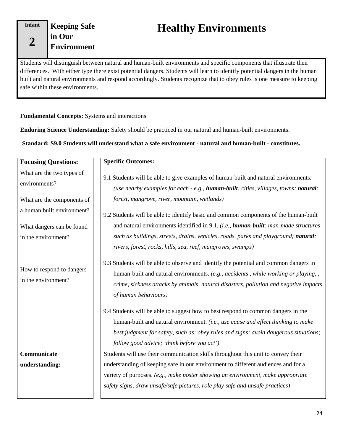**2**

<span id="page-27-0"></span>**Keeping Safe in Our Environment**

## **Healthy Environments**

Students will distinguish between natural and human-built environments and specific components that illustrate their differences. With either type there exist potential dangers. Students will learn to identify potential dangers in the human built and natural environments and respond accordingly. Students recognize that to obey rules is one measure to keeping safe within these environments.

**Fundamental Concepts:** Systems and interactions

**Enduring Science Understanding:** Safety should be practiced in our natural and human-built environments.

**Standard: S9.0 Students will understand what a safe environment - natural and human-built - constitutes.**

| <b>Focusing Questions:</b>                       | <b>Specific Outcomes:</b>                                                                                                                                                                                                                                                                    |  |
|--------------------------------------------------|----------------------------------------------------------------------------------------------------------------------------------------------------------------------------------------------------------------------------------------------------------------------------------------------|--|
| What are the two types of<br>environments?       | 9.1 Students will be able to give examples of human-built and natural environments.<br>(use nearby examples for each - e.g., human-built: cities, villages, towns; natural:                                                                                                                  |  |
| What are the components of                       | forest, mangrove, river, mountain, wetlands)                                                                                                                                                                                                                                                 |  |
| a human built environment?                       | 9.2 Students will be able to identify basic and common components of the human-built                                                                                                                                                                                                         |  |
| What dangers can be found                        | and natural environments identified in 9.1. (i.e., human-built: man-made structures                                                                                                                                                                                                          |  |
| in the environment?                              | such as buildings, streets, drains, vehicles, roads, parks and playground; natural:                                                                                                                                                                                                          |  |
|                                                  | rivers, forest, rocks, hills, sea, reef, mangroves, swamps)                                                                                                                                                                                                                                  |  |
| How to respond to dangers<br>in the environment? | 9.3 Students will be able to observe and identify the potential and common dangers in<br>human-built and natural environments. (e.g., accidents, while working or playing,,<br>crime, sickness attacks by animals, natural disasters, pollution and negative impacts<br>of human behaviours) |  |
|                                                  | 9.4 Students will be able to suggest how to best respond to common dangers in the                                                                                                                                                                                                            |  |
|                                                  | human-built and natural environment. (i.e., use cause and effect thinking to make                                                                                                                                                                                                            |  |
|                                                  | best judgment for safety, such as: obey rules and signs; avoid dangerous situations;                                                                                                                                                                                                         |  |
|                                                  | follow good advice; 'think before you act')                                                                                                                                                                                                                                                  |  |
| Communicate                                      | Students will use their communication skills throughout this unit to convey their                                                                                                                                                                                                            |  |
| understanding:                                   | understanding of keeping safe in our environment to different audiences and for a                                                                                                                                                                                                            |  |
|                                                  | variety of purposes. (e.g., make poster showing an environment, make appropriate                                                                                                                                                                                                             |  |
|                                                  | safety signs, draw unsafe/safe pictures, role play safe and unsafe practices)                                                                                                                                                                                                                |  |
|                                                  |                                                                                                                                                                                                                                                                                              |  |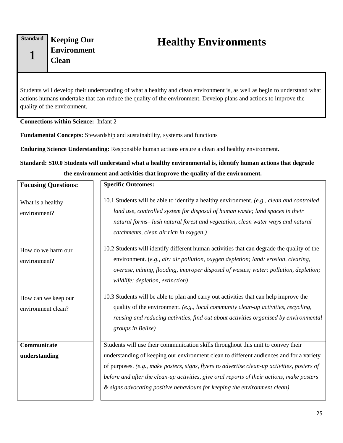<span id="page-28-0"></span>**Keeping Our Environment Clean**

Students will develop their understanding of what a healthy and clean environment is, as well as begin to understand what actions humans undertake that can reduce the quality of the environment. Develop plans and actions to improve the quality of the environment.

**Connections within Science:** Infant 2

**Fundamental Concepts:** Stewardship and sustainability, systems and functions

**Enduring Science Understanding:** Responsible human actions ensure a clean and healthy environment.

**Standard: S10.0 Students will understand what a healthy environmental is, identify human actions that degrade the environment and activities that improve the quality of the environment.**

| <b>Focusing Questions:</b>                | <b>Specific Outcomes:</b>                                                                                                                                                                                                                                                                                                                                                                                                                               |
|-------------------------------------------|---------------------------------------------------------------------------------------------------------------------------------------------------------------------------------------------------------------------------------------------------------------------------------------------------------------------------------------------------------------------------------------------------------------------------------------------------------|
| What is a healthy<br>environment?         | 10.1 Students will be able to identify a healthy environment. (e.g., clean and controlled<br>land use, controlled system for disposal of human waste; land spaces in their<br>natural forms- lush natural forest and vegetation, clean water ways and natural<br>catchments, clean air rich in oxygen,)                                                                                                                                                 |
| How do we harm our<br>environment?        | 10.2 Students will identify different human activities that can degrade the quality of the<br>environment. (e.g., air: air pollution, oxygen depletion; land: erosion, clearing,<br>overuse, mining, flooding, improper disposal of wastes; water: pollution, depletion;<br>wildlife: depletion, extinction)                                                                                                                                            |
| How can we keep our<br>environment clean? | 10.3 Students will be able to plan and carry out activities that can help improve the<br>quality of the environment. (e.g., local community clean-up activities, recycling,<br>reusing and reducing activities, find out about activities organised by environmental<br>groups in Belize)                                                                                                                                                               |
| Communicate<br>understanding              | Students will use their communication skills throughout this unit to convey their<br>understanding of keeping our environment clean to different audiences and for a variety<br>of purposes. (e.g., make posters, signs, flyers to advertise clean-up activities, posters of<br>before and after the clean-up activities, give oral reports of their actions, make posters<br>& signs advocating positive behaviours for keeping the environment clean) |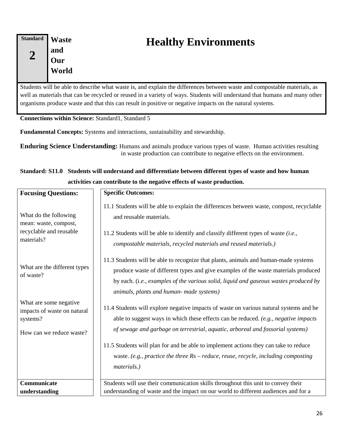<span id="page-29-0"></span>**Standard 2 Waste and Our World**

## **Healthy Environments**

Students will be able to describe what waste is, and explain the differences between waste and compostable materials, as well as materials that can be recycled or reused in a variety of ways. Students will understand that humans and many other organisms produce waste and that this can result in positive or negative impacts on the natural systems.

Connections within Science: Standard1, Standard 5

**Fundamental Concepts:** Systems and interactions, sustainability and stewardship.

**Enduring Science Understanding:** Humans and animals produce various types of waste. Human activities resulting in waste production can contribute to negative effects on the environment.

## **Standard: S11.0 Students will understand and differentiate between different types of waste and how human activities can contribute to the negative effects of waste production.**

| <b>Focusing Questions:</b>                                                                    | <b>Specific Outcomes:</b>                                                                                                                                                                                                                                                                                                                                                                                                                                      |  |
|-----------------------------------------------------------------------------------------------|----------------------------------------------------------------------------------------------------------------------------------------------------------------------------------------------------------------------------------------------------------------------------------------------------------------------------------------------------------------------------------------------------------------------------------------------------------------|--|
| What do the following<br>mean: waste, compost,<br>recyclable and reusable<br>materials?       | 11.1 Students will be able to explain the differences between waste, compost, recyclable<br>and reusable materials.<br>11.2 Students will be able to identify and classify different types of waste (i.e.,<br>compostable materials, recycled materials and reused materials.)                                                                                                                                                                                 |  |
| What are the different types<br>of waste?                                                     | 11.3 Students will be able to recognize that plants, animals and human-made systems<br>produce waste of different types and give examples of the waste materials produced<br>by each. (i.e., examples of the various solid, liquid and gaseous wastes produced by<br>animals, plants and human- made systems)                                                                                                                                                  |  |
| What are some negative<br>impacts of waste on natural<br>systems?<br>How can we reduce waste? | 11.4 Students will explore negative impacts of waste on various natural systems and be<br>able to suggest ways in which these effects can be reduced. (e.g., negative impacts<br>of sewage and garbage on terrestrial, aquatic, arboreal and fossorial systems)<br>11.5 Students will plan for and be able to implement actions they can take to reduce<br>waste. (e.g., practice the three $Rs$ – reduce, reuse, recycle, including composting<br>materials.) |  |
| Communicate                                                                                   | Students will use their communication skills throughout this unit to convey their                                                                                                                                                                                                                                                                                                                                                                              |  |
| understanding                                                                                 | understanding of waste and the impact on our world to different audiences and for a                                                                                                                                                                                                                                                                                                                                                                            |  |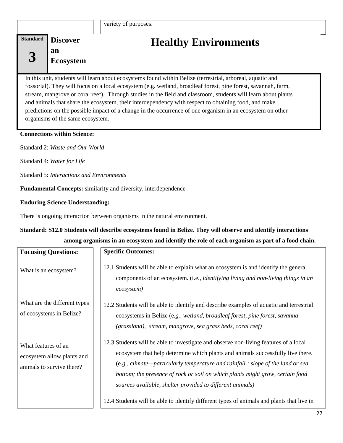<span id="page-30-0"></span>

## **Healthy Environments**

In this unit, students will learn about ecosystems found within Belize (terrestrial, arboreal, aquatic and fossorial). They will focus on a local ecosystem (e.g. wetland, broadleaf forest, pine forest, savannah, farm, stream, mangrove or coral reef). Through studies in the field and classroom, students will learn about plants and animals that share the ecosystem, their interdependency with respect to obtaining food, and make predictions on the possible impact of a change in the occurrence of one organism in an ecosystem on other organisms of the same ecosystem.

#### **Connections within Science:**

Standard 2: *Waste and Our World* 

Standard 4: *Water for Life*

Standard 5: *Interactions and Environments*

**Fundamental Concepts:** similarity and diversity, interdependence

#### **Enduring Science Understanding:**

There is ongoing interaction between organisms in the natural environment.

## **Standard: S12.0 Students will describe ecosystems found in Belize. They will observe and identify interactions among organisms in an ecosystem and identify the role of each organism as part of a food chain.**

| <b>Focusing Questions:</b>                                                     | <b>Specific Outcomes:</b>                                                                                                                                                                                                                                                                                                                                                                                 |
|--------------------------------------------------------------------------------|-----------------------------------------------------------------------------------------------------------------------------------------------------------------------------------------------------------------------------------------------------------------------------------------------------------------------------------------------------------------------------------------------------------|
| What is an ecosystem?                                                          | 12.1 Students will be able to explain what an ecosystem is and identify the general<br>components of an ecosystem. (i.e., <i>identifying living and non-living things in an</i><br>ecosystem)                                                                                                                                                                                                             |
| What are the different types<br>of ecosystems in Belize?                       | 12.2 Students will be able to identify and describe examples of aquatic and terrestrial<br>ecosystems in Belize (e.g., wetland, broadleaf forest, pine forest, savanna<br>(grassland), stream, mangrove, sea grass beds, coral reef)                                                                                                                                                                      |
| What features of an<br>ecosystem allow plants and<br>animals to survive there? | 12.3 Students will be able to investigate and observe non-living features of a local<br>ecosystem that help determine which plants and animals successfully live there.<br>$(e.g., climate—particularly temperature and rainfall; slope of the land or sea$<br>bottom; the presence of rock or soil on which plants might grow, certain food<br>sources available, shelter provided to different animals) |
|                                                                                | 12.4 Students will be able to identify different types of animals and plants that live in                                                                                                                                                                                                                                                                                                                 |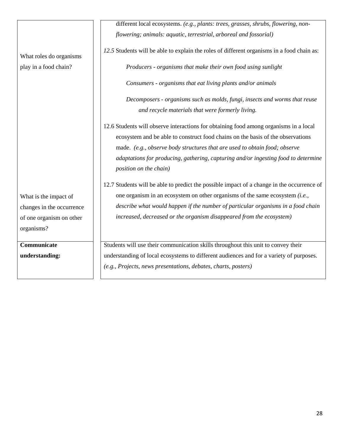|                           | different local ecosystems. (e.g., plants: trees, grasses, shrubs, flowering, non-                           |
|---------------------------|--------------------------------------------------------------------------------------------------------------|
|                           | flowering; animals: aquatic, terrestrial, arboreal and fossorial)                                            |
| What roles do organisms   | 12.5 Students will be able to explain the roles of different organisms in a food chain as:                   |
| play in a food chain?     | Producers - organisms that make their own food using sunlight                                                |
|                           | Consumers - organisms that eat living plants and/or animals                                                  |
|                           | Decomposers - organisms such as molds, fungi, insects and worms that reuse                                   |
|                           | and recycle materials that were formerly living.                                                             |
|                           | 12.6 Students will observe interactions for obtaining food among organisms in a local                        |
|                           | ecosystem and be able to construct food chains on the basis of the observations                              |
|                           | made. (e.g., observe body structures that are used to obtain food; observe                                   |
|                           | adaptations for producing, gathering, capturing and/or ingesting food to determine<br>position on the chain) |
|                           | 12.7 Students will be able to predict the possible impact of a change in the occurrence of                   |
| What is the impact of     | one organism in an ecosystem on other organisms of the same ecosystem (i.e.,                                 |
| changes in the occurrence | describe what would happen if the number of particular organisms in a food chain                             |
| of one organism on other  | increased, decreased or the organism disappeared from the ecosystem)                                         |
| organisms?                |                                                                                                              |
| Communicate               | Students will use their communication skills throughout this unit to convey their                            |
| understanding:            | understanding of local ecosystems to different audiences and for a variety of purposes.                      |
|                           | (e.g., Projects, news presentations, debates, charts, posters)                                               |
|                           |                                                                                                              |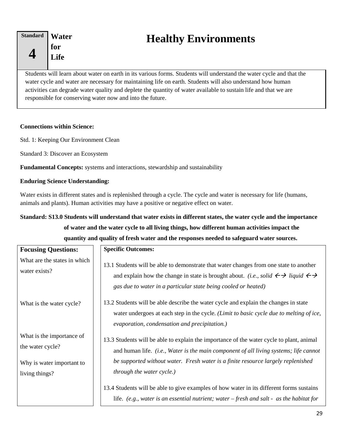#### <span id="page-32-0"></span>**Standard 4 Water for Life**

## **Healthy Environments**

Students will learn about water on earth in its various forms. Students will understand the water cycle and that the water cycle and water are necessary for maintaining life on earth. Students will also understand how human activities can degrade water quality and deplete the quantity of water available to sustain life and that we are responsible for conserving water now and into the future.

#### **Connections within Science:**

Std. 1: Keeping Our Environment Clean

Standard 3: Discover an Ecosystem

**Fundamental Concepts:** systems and interactions, stewardship and sustainability

#### **Enduring Science Understanding:**

Water exists in different states and is replenished through a cycle. The cycle and water is necessary for life (humans, animals and plants). Human activities may have a positive or negative effect on water.

## **Standard: S13.0 Students will understand that water exists in different states, the water cycle and the importance of water and the water cycle to all living things, how different human activities impact the quantity and quality of fresh water and the responses needed to safeguard water sources.**

| <b>Focusing Questions:</b>                                                 | <b>Specific Outcomes:</b>                                                                                                                                                                                                                                                                      |
|----------------------------------------------------------------------------|------------------------------------------------------------------------------------------------------------------------------------------------------------------------------------------------------------------------------------------------------------------------------------------------|
| What are the states in which<br>water exists?                              | 13.1 Students will be able to demonstrate that water changes from one state to another<br>and explain how the change in state is brought about. <i>(i.e., solid</i> $\leftarrow \rightarrow$ liquid $\leftarrow \rightarrow$<br>gas due to water in a particular state being cooled or heated) |
| What is the water cycle?                                                   | 13.2 Students will be able describe the water cycle and explain the changes in state<br>water undergoes at each step in the cycle. (Limit to basic cycle due to melting of ice,<br>evaporation, condensation and precipitation.)                                                               |
| What is the importance of<br>the water cycle?<br>Why is water important to | 13.3 Students will be able to explain the importance of the water cycle to plant, animal<br>and human life. <i>(i.e., Water is the main component of all living systems; life cannot</i><br>be supported without water. Fresh water is a finite resource largely replenished                   |
| living things?                                                             | <i>through the water cycle.)</i><br>13.4 Students will be able to give examples of how water in its different forms sustains<br>life. (e.g., water is an essential nutrient; water – fresh and salt - as the habitat for                                                                       |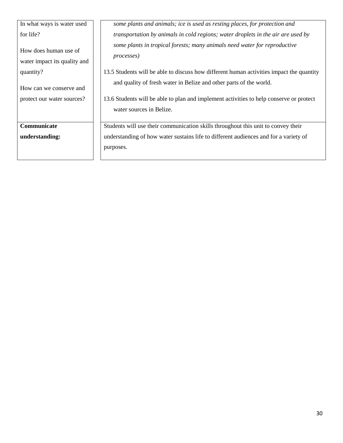| In what ways is water used                            | some plants and animals; ice is used as resting places, for protection and                                                                                    |
|-------------------------------------------------------|---------------------------------------------------------------------------------------------------------------------------------------------------------------|
| for life?                                             | <i>transportation by animals in cold regions; water droplets in the air are used by</i>                                                                       |
| How does human use of<br>water impact its quality and | some plants in tropical forests; many animals need water for reproductive<br><i>processes</i> )                                                               |
| quantity?                                             | 13.5 Students will be able to discuss how different human activities impact the quantity                                                                      |
| How can we conserve and<br>protect our water sources? | and quality of fresh water in Belize and other parts of the world.<br>13.6 Students will be able to plan and implement activities to help conserve or protect |
|                                                       | water sources in Belize.                                                                                                                                      |
| Communicate                                           | Students will use their communication skills throughout this unit to convey their                                                                             |
| understanding:                                        | understanding of how water sustains life to different audiences and for a variety of                                                                          |
|                                                       | purposes.                                                                                                                                                     |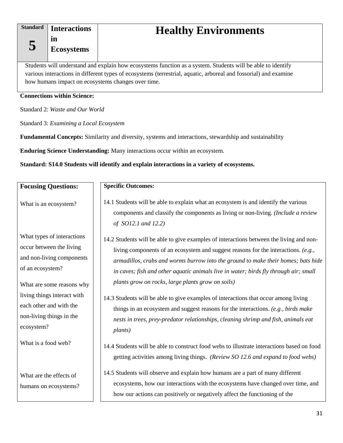**5**

<span id="page-34-0"></span>**in Ecosystems**

# **Healthy Environments**

Students will understand and explain how ecosystems function as a system. Students will be able to identify various interactions in different types of ecosystems (terrestrial, aquatic, arboreal and fossorial) and examine how humans impact on ecosystems changes over time.

#### **Connections within Science:**

Standard 2: *Waste and Our World*

Standard 3: *Examining a Local Ecosystem*

**Fundamental Concepts:** Similarity and diversity, systems and interactions, stewardship and sustainability

**Enduring Science Understanding:** Many interactions occur within an ecosystem.

#### **Standard: S14.0 Students will identify and explain interactions in a variety of ecosystems.**

| <b>Focusing Questions:</b>                                                                                                                                                                                                 | <b>Specific Outcomes:</b>                                                                                                                                                                                                                                                                                                                                                                                                                                                                                                                                                                    |
|----------------------------------------------------------------------------------------------------------------------------------------------------------------------------------------------------------------------------|----------------------------------------------------------------------------------------------------------------------------------------------------------------------------------------------------------------------------------------------------------------------------------------------------------------------------------------------------------------------------------------------------------------------------------------------------------------------------------------------------------------------------------------------------------------------------------------------|
| What is an ecosystem?                                                                                                                                                                                                      | 14.1 Students will be able to explain what an ecosystem is and identify the various<br>components and classify the components as living or non-living. (Include a review<br>of SO12.1 and 12.2)                                                                                                                                                                                                                                                                                                                                                                                              |
| What types of interactions<br>occur between the living<br>and non-living components<br>of an ecosystem?<br>What are some reasons why<br>living things interact with<br>each other and with the<br>non-living things in the | 14.2 Students will be able to give examples of interactions between the living and non-<br>living components of an ecosystem and suggest reasons for the interactions. (e.g.,<br>armadillos, crabs and worms burrow into the ground to make their homes; bats hide<br>in caves; fish and other aquatic animals live in water; birds fly through air; small<br>plants grow on rocks, large plants grow on soils)<br>14.3 Students will be able to give examples of interactions that occur among living<br>things in an ecosystem and suggest reasons for the interactions. (e.g., birds make |
| ecosystem?                                                                                                                                                                                                                 | nests in trees, prey-predator relationships, cleaning shrimp and fish, animals eat<br><i>plants</i> )                                                                                                                                                                                                                                                                                                                                                                                                                                                                                        |
| What is a food web?                                                                                                                                                                                                        | 14.4 Students will be able to construct food webs to illustrate interactions based on food<br>getting activities among living things. (Review SO 12.6 and expand to food webs)                                                                                                                                                                                                                                                                                                                                                                                                               |
| What are the effects of<br>humans on ecosystems?                                                                                                                                                                           | 14.5 Students will observe and explain how humans are a part of many different<br>ecosystems, how our interactions with the ecosystems have changed over time, and<br>how our actions can positively or negatively affect the functioning of the                                                                                                                                                                                                                                                                                                                                             |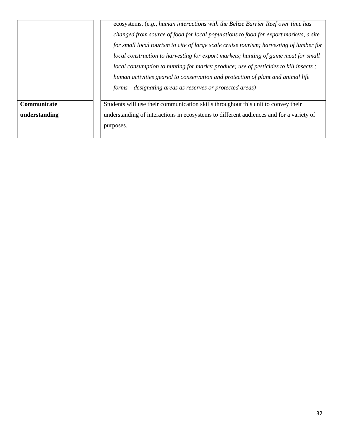ecosystems. (e*.g., human interactions with the Belize Barrier Reef over time has changed from source of food for local populations to food for export markets, a site for small local tourism to cite of large scale cruise tourism; harvesting of lumber for local construction to harvesting for export markets; hunting of game meat for small local consumption to hunting for market produce; use of pesticides to kill insects ; human activities geared to conservation and protection of plant and animal life forms – designating areas as reserves or protected areas)* 

## **Communicate**

**understanding**

Students will use their communication skills throughout this unit to convey their understanding of interactions in ecosystems to different audiences and for a variety of purposes.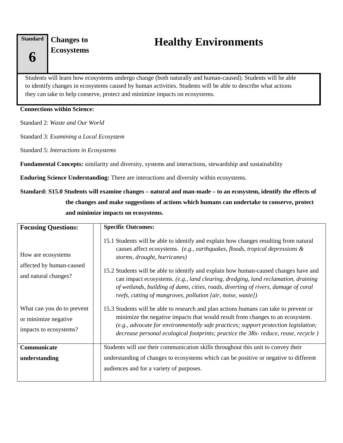**Changes to** 

# **Example 3 Ecosystems Healthy Environments**

Students will learn how ecosystems undergo change (both naturally and human-caused). Students will be able to identify changes in ecosystems caused by human activities. Students will be able to describe what actions they can take to help conserve, protect and minimize impacts on ecosystems.

#### **Connections within Science:**

Standard 2: *Waste and Our World*

Standard 3: *Examining a Local Ecosystem*

Standard 5: *Interactions in Ecosystems*

**Fundamental Concepts:** similarity and diversity, systems and interactions, stewardship and sustainability

**Enduring Science Understanding:** There are interactions and diversity within ecosystems.

### **Standard: S15.0 Students will examine changes – natural and man-made – to an ecosystem, identify the effects of the changes and make suggestions of actions which humans can undertake to conserve, protect and minimize impacts on ecosystems.**

| <b>Focusing Questions:</b>                                                   | <b>Specific Outcomes:</b>                                                                                                                                                                                                                                                                                                                                                                                                                                                                                                                  |
|------------------------------------------------------------------------------|--------------------------------------------------------------------------------------------------------------------------------------------------------------------------------------------------------------------------------------------------------------------------------------------------------------------------------------------------------------------------------------------------------------------------------------------------------------------------------------------------------------------------------------------|
| How are ecosystems<br>affected by human-caused<br>and natural changes?       | 15.1 Students will be able to identify and explain how changes resulting from natural<br>causes affect ecosystems. (e.g., earthquakes, floods, tropical depressions $\&$<br>storms, drought, hurricanes)<br>15.2 Students will be able to identify and explain how human-caused changes have and<br>can impact ecosystems. (e.g., land clearing, dredging, land reclamation, draining<br>of wetlands, building of dams, cities, roads, diverting of rivers, damage of coral<br>reefs, cutting of mangroves, pollution [air, noise, waste]) |
| What can you do to prevent<br>or minimize negative<br>impacts to ecosystems? | 15.3 Students will be able to research and plan actions humans can take to prevent or<br>minimize the negative impacts that would result from changes to an ecosystem.<br>(e.g., advocate for environmentally safe practices; support protection legislation;<br>decrease personal ecological footprints; practice the 3Rs- reduce, reuse, recycle)                                                                                                                                                                                        |
| Communicate<br>understanding                                                 | Students will use their communication skills throughout this unit to convey their<br>understanding of changes to ecosystems which can be positive or negative to different<br>audiences and for a variety of purposes.                                                                                                                                                                                                                                                                                                                     |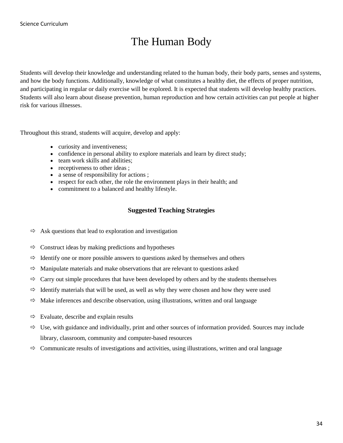## The Human Body

Students will develop their knowledge and understanding related to the human body, their body parts, senses and systems, and how the body functions. Additionally, knowledge of what constitutes a healthy diet, the effects of proper nutrition, and participating in regular or daily exercise will be explored. It is expected that students will develop healthy practices. Students will also learn about disease prevention, human reproduction and how certain activities can put people at higher risk for various illnesses.

Throughout this strand, students will acquire, develop and apply:

- curiosity and inventiveness;
- confidence in personal ability to explore materials and learn by direct study;
- team work skills and abilities:
- receptiveness to other ideas;
- a sense of responsibility for actions ;
- respect for each other, the role the environment plays in their health; and
- commitment to a balanced and healthy lifestyle.

#### **Suggested Teaching Strategies**

- $\Rightarrow$  Ask questions that lead to exploration and investigation
- $\Rightarrow$  Construct ideas by making predictions and hypotheses
- $\Rightarrow$  Identify one or more possible answers to questions asked by themselves and others
- $\Rightarrow$  Manipulate materials and make observations that are relevant to questions asked
- $\Rightarrow$  Carry out simple procedures that have been developed by others and by the students themselves
- $\Rightarrow$  Identify materials that will be used, as well as why they were chosen and how they were used
- $\Rightarrow$  Make inferences and describe observation, using illustrations, written and oral language
- $\Rightarrow$  Evaluate, describe and explain results
- $\Rightarrow$  Use, with guidance and individually, print and other sources of information provided. Sources may include library, classroom, community and computer-based resources
- $\Rightarrow$  Communicate results of investigations and activities, using illustrations, written and oral language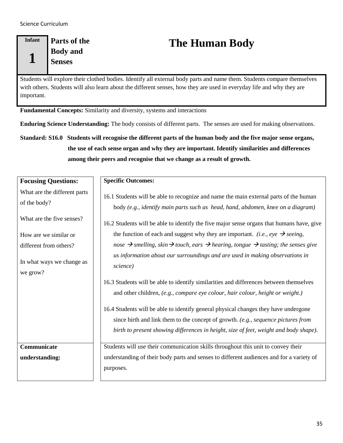#### **Infant 1 Parts of the Body and Senses**

# **The Human Body**

Students will explore their clothed bodies. Identify all external body parts and name them. Students compare themselves with others. Students will also learn about the different senses, how they are used in everyday life and why they are important.

**Fundamental Concepts:** Similarity and diversity, systems and interactions

**Enduring Science Understanding:** The body consists of different parts. The senses are used for making observations.

**Standard: S16.0 Students will recognise the different parts of the human body and the five major sense organs, the use of each sense organ and why they are important. Identify similarities and differences among their peers and recognise that we change as a result of growth.**

| <b>Focusing Questions:</b>                                                                                                   | <b>Specific Outcomes:</b>                                                                                                                                                                                                                                                                                                                                                                                                                                                                                            |
|------------------------------------------------------------------------------------------------------------------------------|----------------------------------------------------------------------------------------------------------------------------------------------------------------------------------------------------------------------------------------------------------------------------------------------------------------------------------------------------------------------------------------------------------------------------------------------------------------------------------------------------------------------|
| What are the different parts<br>of the body?<br>What are the five senses?<br>How are we similar or<br>different from others? | 16.1 Students will be able to recognize and name the main external parts of the human<br>body (e.g., identify main parts such as head, hand, abdomen, knee on a diagram)<br>16.2 Students will be able to identify the five major sense organs that humans have, give<br>the function of each and suggest why they are important. <i>(i.e., eye</i> $\rightarrow$ <i>seeing,</i><br>nose $\rightarrow$ smelling, skin $\rightarrow$ touch, ears $\rightarrow$ hearing, tongue $\rightarrow$ tasting; the senses give |
| In what ways we change as<br>we grow?                                                                                        | us information about our surroundings and are used in making observations in<br>science)<br>16.3 Students will be able to identify similarities and differences between themselves<br>and other children, (e.g., compare eye colour, hair colour, height or weight.)<br>16.4 Students will be able to identify general physical changes they have undergone<br>since birth and link them to the concept of growth. (e.g., sequence pictures from                                                                     |
|                                                                                                                              | birth to present showing differences in height, size of feet, weight and body shape).                                                                                                                                                                                                                                                                                                                                                                                                                                |
| Communicate                                                                                                                  | Students will use their communication skills throughout this unit to convey their                                                                                                                                                                                                                                                                                                                                                                                                                                    |
| understanding:                                                                                                               | understanding of their body parts and senses to different audiences and for a variety of<br>purposes.                                                                                                                                                                                                                                                                                                                                                                                                                |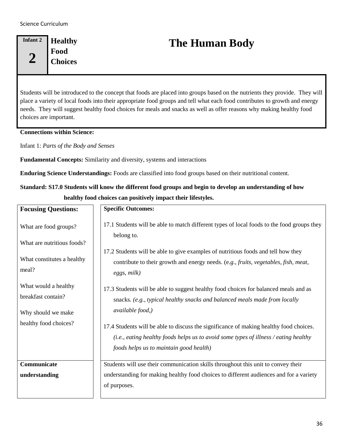#### **Infant 2 2 Healthy Food Choices**

# **The Human Body**

Students will be introduced to the concept that foods are placed into groups based on the nutrients they provide. They will place a variety of local foods into their appropriate food groups and tell what each food contributes to growth and energy needs. They will suggest healthy food choices for meals and snacks as well as offer reasons why making healthy food choices are important.

#### **Connections within Science:**

Infant 1: *Parts of the Body and Senses*

**Fundamental Concepts:** Similarity and diversity, systems and interactions

**Enduring Science Understandings:** Foods are classified into food groups based on their nutritional content.

### **Standard: S17.0 Students will know the different food groups and begin to develop an understanding of how healthy food choices can positively impact their lifestyles.**

| <b>Focusing Questions:</b>                                       | <b>Specific Outcomes:</b>                                                                                                                                                                                                 |
|------------------------------------------------------------------|---------------------------------------------------------------------------------------------------------------------------------------------------------------------------------------------------------------------------|
| What are food groups?<br>What are nutritious foods?              | 17.1 Students will be able to match different types of local foods to the food groups they<br>belong to.                                                                                                                  |
| What constitutes a healthy<br>meal?                              | 17.2 Students will be able to give examples of nutritious foods and tell how they<br>contribute to their growth and energy needs. (e.g., fruits, vegetables, fish, meat,<br>eggs, milk)                                   |
| What would a healthy<br>breakfast contain?<br>Why should we make | 17.3 Students will be able to suggest healthy food choices for balanced meals and as<br>snacks. (e.g., typical healthy snacks and balanced meals made from locally<br><i>available food,)</i>                             |
| healthy food choices?                                            | 17.4 Students will be able to discuss the significance of making healthy food choices.<br>(i.e., eating healthy foods helps us to avoid some types of illness / eating healthy<br>foods helps us to maintain good health) |
| Communicate                                                      | Students will use their communication skills throughout this unit to convey their                                                                                                                                         |
| understanding                                                    | understanding for making healthy food choices to different audiences and for a variety<br>of purposes.                                                                                                                    |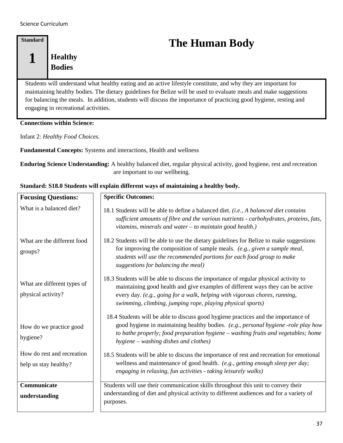### **Standard 1 Healthy Bodies**

# **The Human Body**

Students will understand what healthy eating and an active lifestyle constitute, and why they are important for maintaining healthy bodies. The dietary guidelines for Belize will be used to evaluate meals and make suggestions for balancing the meals. In addition, students will discuss the importance of practicing good hygiene, resting and engaging in recreational activities.

#### **Connections within Science:**

Infant 2: *Healthy Food Choices*.

**Fundamental Concepts:** Systems and interactions, Health and wellness

**Enduring Science Understanding:** A healthy balanced diet, regular physical activity, good hygiene, rest and recreation are important to our wellbeing.

| <b>Focusing Questions:</b>                          | <b>Specific Outcomes:</b>                                                                                                                                                                                                                                                                                          |
|-----------------------------------------------------|--------------------------------------------------------------------------------------------------------------------------------------------------------------------------------------------------------------------------------------------------------------------------------------------------------------------|
| What is a balanced diet?                            | 18.1 Students will be able to define a balanced diet. (i.e., A balanced diet contains<br>sufficient amounts of fibre and the various nutrients - carbohydrates, proteins, fats,<br>vitamins, minerals and water - to maintain good health.)                                                                        |
| What are the different food<br>groups?              | 18.2 Students will be able to use the dietary guidelines for Belize to make suggestions<br>for improving the composition of sample meals. (e.g., given a sample meal,<br>students will use the recommended portions for each food group to make<br>suggestions for balancing the meal)                             |
| What are different types of<br>physical activity?   | 18.3 Students will be able to discuss the importance of regular physical activity to<br>maintaining good health and give examples of different ways they can be active<br>every day. (e.g., going for a walk, helping with vigorous chores, running,<br>swimming, climbing, jumping rope, playing physical sports) |
| How do we practice good<br>hygiene?                 | 18.4 Students will be able to discuss good hygiene practices and the importance of<br>good hygiene in maintaining healthy bodies. (e.g., personal hygiene -role play how<br>to bathe properly; food preparation hygiene - washing fruits and vegetables; home<br>hygiene – washing dishes and clothes)             |
| How do rest and recreation<br>help us stay healthy? | 18.5 Students will be able to discuss the importance of rest and recreation for emotional<br>wellness and maintenance of good health. (e.g., getting enough sleep per day;<br>engaging in relaxing, fun activities - taking leisurely walks)                                                                       |
| Communicate<br>understanding                        | Students will use their communication skills throughout this unit to convey their<br>understanding of diet and physical activity to different audiences and for a variety of<br>purposes.                                                                                                                          |

#### **Standard: S18.0 Students will explain different ways of maintaining a healthy body.**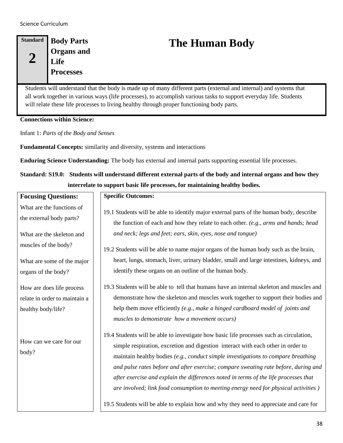#### **Standard 2 Body Parts Organs and Life Processes**

## **The Human Body**

Students will understand that the body is made up of many different parts (external and internal) and systems that all work together in various ways (life processes), to accomplish various tasks to support everyday life. Students will relate these life processes to living healthy through proper functioning body parts.

**Connections within Science:** 

Infant 1: *Parts of the Body and Senses*

**Fundamental Concepts:** similarity and diversity, systems and interactions

**Enduring Science Understanding:** The body has external and internal parts supporting essential life processes.

**Standard: S19.0: Students will understand different external parts of the body and internal organs and how they interrelate to support basic life processes, for maintaining healthy bodies.**

| <b>Focusing Questions:</b>                                                       | <b>Specific Outcomes:</b>                                                                                                                                                                                                                                                                                                                                                                                                                                                                                                              |
|----------------------------------------------------------------------------------|----------------------------------------------------------------------------------------------------------------------------------------------------------------------------------------------------------------------------------------------------------------------------------------------------------------------------------------------------------------------------------------------------------------------------------------------------------------------------------------------------------------------------------------|
| What are the functions of<br>the external body parts?                            | 19.1 Students will be able to identify major external parts of the human body, describe<br>the function of each and how they relate to each other. (e.g., arms and hands; head                                                                                                                                                                                                                                                                                                                                                         |
| What are the skeleton and                                                        | and neck; legs and feet; ears, skin, eyes, nose and tongue)                                                                                                                                                                                                                                                                                                                                                                                                                                                                            |
| muscles of the body?                                                             | 19.2 Students will be able to name major organs of the human body such as the brain,                                                                                                                                                                                                                                                                                                                                                                                                                                                   |
| What are some of the major                                                       | heart, lungs, stomach, liver, urinary bladder, small and large intestines, kidneys, and                                                                                                                                                                                                                                                                                                                                                                                                                                                |
| organs of the body?                                                              | identify these organs on an outline of the human body.                                                                                                                                                                                                                                                                                                                                                                                                                                                                                 |
| How are does life process<br>relate in order to maintain a<br>healthy body/life? | 19.3 Students will be able to tell that humans have an internal skeleton and muscles and<br>demonstrate how the skeleton and muscles work together to support their bodies and<br>help them move efficiently (e.g., make a hinged cardboard model of joints and<br>muscles to demonstrate how a movement occurs)                                                                                                                                                                                                                       |
| How can we care for our<br>body?                                                 | 19.4 Students will be able to investigate how basic life processes such as circulation,<br>simple respiration, excretion and digestion interact with each other in order to<br>maintain healthy bodies (e.g., conduct simple investigations to compare breathing<br>and pulse rates before and after exercise; compare sweating rate before, during and<br>after exercise and explain the differences noted in terms of the life processes that<br>are involved; link food consumption to meeting energy need for physical activities) |
|                                                                                  | 19.5 Students will be able to explain how and why they need to appreciate and care for                                                                                                                                                                                                                                                                                                                                                                                                                                                 |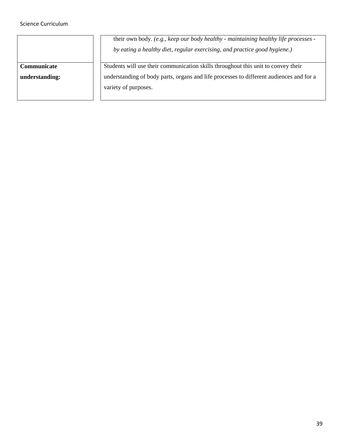**Communicate** 

**understanding:**

their own body. *(e.g., keep our body healthy - maintaining healthy life processes by eating a healthy diet, regular exercising, and practice good hygiene.)*

Students will use their communication skills throughout this unit to convey their understanding of body parts, organs and life processes to different audiences and for a variety of purposes.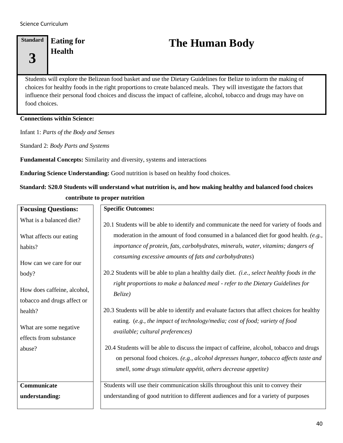### **Standard 3 Eating for**

# Eating for **The Human Body**<br>Health

Students will explore the Belizean food basket and use the Dietary Guidelines for Belize to inform the making of choices for healthy foods in the right proportions to create balanced meals. They will investigate the factors that influence their personal food choices and discuss the impact of caffeine, alcohol, tobacco and drugs may have on food choices.

#### **Connections within Science:**

Infant 1: *Parts of the Body and Senses*

Standard 2: *Body Parts and Systems*

**Fundamental Concepts:** Similarity and diversity, systems and interactions

**Enduring Science Understanding:** Good nutrition is based on healthy food choices.

### **Standard: S20.0 Students will understand what nutrition is, and how making healthy and balanced food choices contribute to proper nutrition**

| <b>Focusing Questions:</b>                                 | <b>Specific Outcomes:</b>                                                                                        |
|------------------------------------------------------------|------------------------------------------------------------------------------------------------------------------|
| What is a balanced diet?                                   | 20.1 Students will be able to identify and communicate the need for variety of foods and                         |
| What affects our eating                                    | moderation in the amount of food consumed in a balanced diet for good health. (e.g.,                             |
| habits?                                                    | importance of protein, fats, carbohydrates, minerals, water, vitamins; dangers of                                |
| How can we care for our                                    | consuming excessive amounts of fats and carbohydrates)                                                           |
| body?                                                      | 20.2 Students will be able to plan a healthy daily diet. (i.e., select healthy foods in the                      |
| How does caffeine, alcohol,<br>tobacco and drugs affect or | right proportions to make a balanced meal - refer to the Dietary Guidelines for<br>Belize)                       |
| health?                                                    | 20.3 Students will be able to identify and evaluate factors that affect choices for healthy                      |
| What are some negative<br>effects from substance           | eating. (e.g., the impact of technology/media; cost of food; variety of food<br>available; cultural preferences) |
| abuse?                                                     | 20.4 Students will be able to discuss the impact of caffeine, alcohol, tobacco and drugs                         |
|                                                            | on personal food choices. (e.g., alcohol depresses hunger, tobacco affects taste and                             |
|                                                            | smell, some drugs stimulate appétit, others decrease appetite)                                                   |
| Communicate                                                | Students will use their communication skills throughout this unit to convey their                                |
| understanding:                                             | understanding of good nutrition to different audiences and for a variety of purposes                             |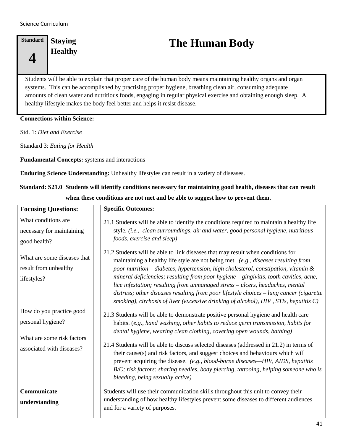### **Standard 4 Staying**

# **Finding Staying The Human Body**<br>**Healthy**

Students will be able to explain that proper care of the human body means maintaining healthy organs and organ systems. This can be accomplished by practising proper hygiene, breathing clean air, consuming adequate amounts of clean water and nutritious foods, engaging in regular physical exercise and obtaining enough sleep. A healthy lifestyle makes the body feel better and helps it resist disease.

#### **Connections within Science:**

Std. 1: *Diet and Exercise*

Standard 3: *Eating for Health*

**Fundamental Concepts:** systems and interactions

**Enduring Science Understanding:** Unhealthy lifestyles can result in a variety of diseases.

### **Standard: S21.0 Students will identify conditions necessary for maintaining good health, diseases that can result when these conditions are not met and be able to suggest how to prevent them.**

| <b>Focusing Questions:</b>                                                                                                               | <b>Specific Outcomes:</b>                                                                                                                                                                                                                                                                                                                                                                                                                                                                                                                                                                                                                                                                                                                            |
|------------------------------------------------------------------------------------------------------------------------------------------|------------------------------------------------------------------------------------------------------------------------------------------------------------------------------------------------------------------------------------------------------------------------------------------------------------------------------------------------------------------------------------------------------------------------------------------------------------------------------------------------------------------------------------------------------------------------------------------------------------------------------------------------------------------------------------------------------------------------------------------------------|
| What conditions are.<br>necessary for maintaining<br>good health?<br>What are some diseases that<br>result from unhealthy<br>lifestyles? | 21.1 Students will be able to identify the conditions required to maintain a healthy life<br>style. (i.e., clean surroundings, air and water, good personal hygiene, nutritious<br>foods, exercise and sleep)<br>21.2 Students will be able to link diseases that may result when conditions for<br>maintaining a healthy life style are not being met. (e.g., diseases resulting from<br>poor nutrition - diabetes, hypertension, high cholesterol, constipation, vitamin $\&$<br>mineral deficiencies; resulting from poor hygiene - gingivitis, tooth cavities, acne,<br>lice infestation; resulting from unmanaged stress - ulcers, headaches, mental<br>distress; other diseases resulting from poor lifestyle choices - lung cancer (cigarette |
| How do you practice good<br>personal hygiene?<br>What are some risk factors<br>associated with diseases?                                 | smoking), cirrhosis of liver (excessive drinking of alcohol), HIV, STIs, hepatitis C)<br>21.3 Students will be able to demonstrate positive personal hygiene and health care<br>habits. (e.g., hand washing, other habits to reduce germ transmission, habits for<br>dental hygiene, wearing clean clothing, covering open wounds, bathing)<br>21.4 Students will be able to discuss selected diseases (addressed in 21.2) in terms of<br>their cause(s) and risk factors, and suggest choices and behaviours which will<br>prevent acquiring the disease. (e.g., blood-borne diseases—HIV, AIDS, hepatitis<br>B/C; risk factors: sharing needles, body piercing, tattooing, helping someone who is<br>bleeding, being sexually active)              |
| Communicate<br>understanding                                                                                                             | Students will use their communication skills throughout this unit to convey their<br>understanding of how healthy lifestyles prevent some diseases to different audiences<br>and for a variety of purposes.                                                                                                                                                                                                                                                                                                                                                                                                                                                                                                                                          |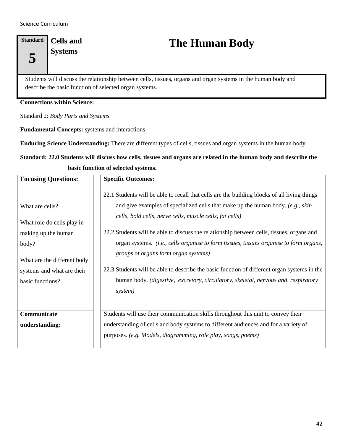### **Standard 5 Cells and**

**Systems The Human Body**

Students will discuss the relationship between cells, tissues, organs and organ systems in the human body and describe the basic function of selected organ systems.

#### **Connections within Science:**

Standard 2: *Body Parts and Systems*

**Fundamental Concepts:** systems and interactions

**Enduring Science Understanding:** There are different types of cells, tissues and organ systems in the human body.

### **Standard: 22.0 Students will discuss how cells, tissues and organs are related in the human body and describe the basic function of selected systems.**

| <b>Focusing Questions:</b>                                                                                                                                     | <b>Specific Outcomes:</b>                                                                                                                                                                                                                                                                                                                                                                                                                                                                                                                                                                                                                                                  |
|----------------------------------------------------------------------------------------------------------------------------------------------------------------|----------------------------------------------------------------------------------------------------------------------------------------------------------------------------------------------------------------------------------------------------------------------------------------------------------------------------------------------------------------------------------------------------------------------------------------------------------------------------------------------------------------------------------------------------------------------------------------------------------------------------------------------------------------------------|
| What are cells?<br>What role do cells play in<br>making up the human<br>body?<br>What are the different body<br>systems and what are their<br>basic functions? | 22.1 Students will be able to recall that cells are the building blocks of all living things<br>and give examples of specialized cells that make up the human body. (e.g., skin<br>cells, bold cells, nerve cells, muscle cells, fat cells)<br>22.2 Students will be able to discuss the relationship between cells, tissues, organs and<br>organ systems. (i.e., cells organise to form tissues, tissues organise to form organs,<br>groups of organs form organ systems)<br>22.3 Students will be able to describe the basic function of different organ systems in the<br>human body. (digestive, excretory, circulatory, skeletal, nervous and, respiratory<br>system) |
| Communicate<br>understanding:                                                                                                                                  | Students will use their communication skills throughout this unit to convey their<br>understanding of cells and body systems to different audiences and for a variety of<br>purposes. (e.g. Models, diagramming, role play, songs, poems)                                                                                                                                                                                                                                                                                                                                                                                                                                  |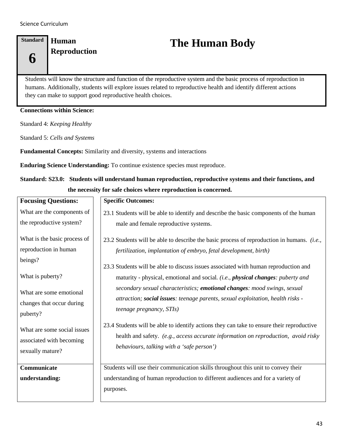**6**

### **Standard Human**

# **Reproduction The Human Body**

Students will know the structure and function of the reproductive system and the basic process of reproduction in humans. Additionally, students will explore issues related to reproductive health and identify different actions they can make to support good reproductive health choices.

#### **Connections within Science:**

Standard 4: *Keeping Healthy*

Standard 5: *Cells and Systems*

**Fundamental Concepts:** Similarity and diversity, systems and interactions

**Enduring Science Understanding:** To continue existence species must reproduce.

**Standard: S23.0: Students will understand human reproduction, reproductive systems and their functions, and the necessity for safe choices where reproduction is concerned.**

| <b>Focusing Questions:</b>    | <b>Specific Outcomes:</b>                                                                                                                                                         |
|-------------------------------|-----------------------------------------------------------------------------------------------------------------------------------------------------------------------------------|
| What are the components of    | 23.1 Students will be able to identify and describe the basic components of the human                                                                                             |
| the reproductive system?      | male and female reproductive systems.                                                                                                                                             |
| What is the basic process of  | 23.2 Students will be able to describe the basic process of reproduction in humans. <i>(i.e.,</i>                                                                                 |
| reproduction in human         | fertilization, implantation of embryo, fetal development, birth)                                                                                                                  |
| beings?                       | 23.3 Students will be able to discuss issues associated with human reproduction and                                                                                               |
| What is puberty?              | maturity - physical, emotional and social. (i.e., physical changes: puberty and                                                                                                   |
| What are some emotional       | secondary sexual characteristics; emotional changes: mood swings, sexual                                                                                                          |
| changes that occur during     | attraction; social issues: teenage parents, sexual exploitation, health risks -                                                                                                   |
| puberty?                      | <i>teenage pregnancy, STIs)</i>                                                                                                                                                   |
| What are some social issues   | 23.4 Students will be able to identify actions they can take to ensure their reproductive                                                                                         |
| associated with becoming      | health and safety. (e.g., access accurate information on reproduction, avoid risky                                                                                                |
| sexually mature?              | behaviours, talking with a 'safe person')                                                                                                                                         |
| Communicate<br>understanding: | Students will use their communication skills throughout this unit to convey their<br>understanding of human reproduction to different audiences and for a variety of<br>purposes. |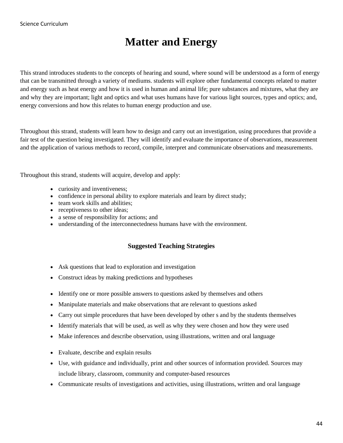## **Matter and Energy**

This strand introduces students to the concepts of hearing and sound, where sound will be understood as a form of energy that can be transmitted through a variety of mediums. students will explore other fundamental concepts related to matter and energy such as heat energy and how it is used in human and animal life; pure substances and mixtures, what they are and why they are important; light and optics and what uses humans have for various light sources, types and optics; and, energy conversions and how this relates to human energy production and use.

Throughout this strand, students will learn how to design and carry out an investigation, using procedures that provide a fair test of the question being investigated. They will identify and evaluate the importance of observations, measurement and the application of various methods to record, compile, interpret and communicate observations and measurements.

Throughout this strand, students will acquire, develop and apply:

- curiosity and inventiveness;
- confidence in personal ability to explore materials and learn by direct study;
- team work skills and abilities;
- receptiveness to other ideas:
- a sense of responsibility for actions; and
- understanding of the interconnectedness humans have with the environment.

#### **Suggested Teaching Strategies**

- Ask questions that lead to exploration and investigation
- Construct ideas by making predictions and hypotheses
- Identify one or more possible answers to questions asked by themselves and others
- Manipulate materials and make observations that are relevant to questions asked
- Carry out simple procedures that have been developed by other s and by the students themselves
- Identify materials that will be used, as well as why they were chosen and how they were used
- Make inferences and describe observation, using illustrations, written and oral language
- Evaluate, describe and explain results
- Use, with guidance and individually, print and other sources of information provided. Sources may include library, classroom, community and computer-based resources
- Communicate results of investigations and activities, using illustrations, written and oral language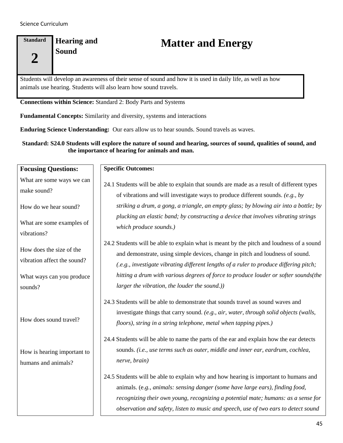### **Standard 2 Hearing and**

# **Hearing and <b>Matter and Energy**<br>
Sound

Students will develop an awareness of their sense of sound and how it is used in daily life, as well as how animals use hearing. Students will also learn how sound travels.

**Connections within Science:** Standard 2: Body Parts and Systems

**Fundamental Concepts:** Similarity and diversity, systems and interactions

**Enduring Science Understanding:** Our ears allow us to hear sounds. Sound travels as waves.

#### **Standard: S24.0 Students will explore the nature of sound and hearing, sources of sound, qualities of sound, and the importance of hearing for animals and man.**

| <b>Focusing Questions:</b>                              | <b>Specific Outcomes:</b>                                                                                                                                                                                                                                                                                                                         |
|---------------------------------------------------------|---------------------------------------------------------------------------------------------------------------------------------------------------------------------------------------------------------------------------------------------------------------------------------------------------------------------------------------------------|
| What are some ways we can<br>make sound?                | 24.1 Students will be able to explain that sounds are made as a result of different types<br>of vibrations and will investigate ways to produce different sounds. $(e.g., by)$                                                                                                                                                                    |
| How do we hear sound?                                   | striking a drum, a gong, a triangle, an empty glass; by blowing air into a bottle; by<br>plucking an elastic band; by constructing a device that involves vibrating strings                                                                                                                                                                       |
| What are some examples of<br>vibrations?                | which produce sounds.)                                                                                                                                                                                                                                                                                                                            |
| How does the size of the<br>vibration affect the sound? | 24.2 Students will be able to explain what is meant by the pitch and loudness of a sound<br>and demonstrate, using simple devices, change in pitch and loudness of sound.                                                                                                                                                                         |
| What ways can you produce<br>sounds?                    | (.e.g., investigate vibrating different lengths of a ruler to produce differing pitch;<br>hitting a drum with various degrees of force to produce louder or softer sounds(the<br>larger the vibration, the louder the sound.))                                                                                                                    |
| How does sound travel?                                  | 24.3 Students will be able to demonstrate that sounds travel as sound waves and<br>investigate things that carry sound. (e.g., air, water, through solid objects (walls,<br>floors), string in a string telephone, metal when tapping pipes.)<br>24.4 Students will be able to name the parts of the ear and explain how the ear detects          |
| How is hearing important to<br>humans and animals?      | sounds. (i.e., use terms such as outer, middle and inner ear, eardrum, cochlea,<br>nerve, brain)                                                                                                                                                                                                                                                  |
|                                                         | 24.5 Students will be able to explain why and how hearing is important to humans and<br>animals. (e.g., animals: sensing danger (some have large ears), finding food,<br>recognizing their own young, recognizing a potential mate; humans: as a sense for<br>observation and safety, listen to music and speech, use of two ears to detect sound |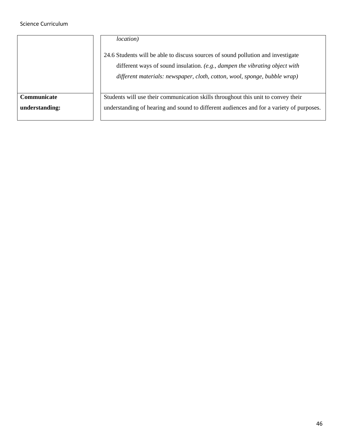|                | <i>location</i> )<br>24.6 Students will be able to discuss sources of sound pollution and investigate<br>different ways of sound insulation. (e.g., dampen the vibrating object with<br>different materials: newspaper, cloth, cotton, wool, sponge, bubble wrap) |
|----------------|-------------------------------------------------------------------------------------------------------------------------------------------------------------------------------------------------------------------------------------------------------------------|
| Communicate    | Students will use their communication skills throughout this unit to convey their                                                                                                                                                                                 |
| understanding: | understanding of hearing and sound to different audiences and for a variety of purposes.                                                                                                                                                                          |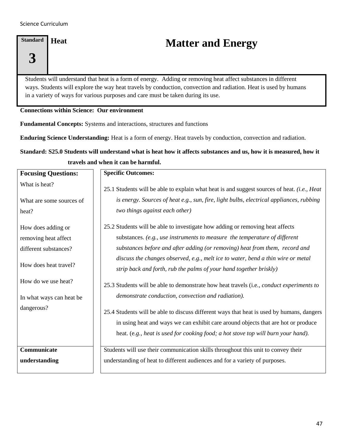# **Standard 3**

## **Heat Matter and Energy**

Students will understand that heat is a form of energy. Adding or removing heat affect substances in different ways. Students will explore the way heat travels by conduction, convection and radiation. Heat is used by humans in a variety of ways for various purposes and care must be taken during its use.

#### **Connections within Science: Our environment**

**Fundamental Concepts:** Systems and interactions, structures and functions

**Enduring Science Understanding:** Heat is a form of energy. Heat travels by conduction, convection and radiation.

### **Standard: S25.0 Students will understand what is heat how it affects substances and us, how it is measured, how it travels and when it can be harmful.**

| <b>Focusing Questions:</b> | <b>Specific Outcomes:</b>                                                                                                                                                      |
|----------------------------|--------------------------------------------------------------------------------------------------------------------------------------------------------------------------------|
| What is heat?              | 25.1 Students will be able to explain what heat is and suggest sources of heat. (i.e., Heat                                                                                    |
| What are some sources of   | is energy. Sources of heat e.g., sun, fire, light bulbs, electrical appliances, rubbing                                                                                        |
| heat?                      | two things against each other)                                                                                                                                                 |
| How does adding or         | 25.2 Students will be able to investigate how adding or removing heat affects                                                                                                  |
| removing heat affect       | substances. (e.g., use instruments to measure the temperature of different                                                                                                     |
| different substances?      | substances before and after adding (or removing) heat from them, record and                                                                                                    |
|                            | discuss the changes observed, e.g., melt ice to water, bend a thin wire or metal                                                                                               |
| How does heat travel?      | strip back and forth, rub the palms of your hand together briskly)                                                                                                             |
| How do we use heat?        | 25.3 Students will be able to demonstrate how heat travels (i.e., conduct experiments to                                                                                       |
| In what ways can heat be   | demonstrate conduction, convection and radiation).                                                                                                                             |
| dangerous?                 | 25.4 Students will be able to discuss different ways that heat is used by humans, dangers<br>in using heat and ways we can exhibit care around objects that are hot or produce |
|                            | heat. (e.g., heat is used for cooking food; a hot stove top will burn your hand).                                                                                              |
| Communicate                | Students will use their communication skills throughout this unit to convey their                                                                                              |
| understanding              | understanding of heat to different audiences and for a variety of purposes.                                                                                                    |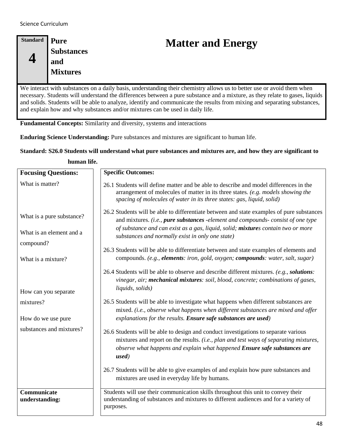| <b>Standard</b> | Pure              |
|-----------------|-------------------|
|                 | <b>Substances</b> |
|                 | and               |
|                 | <b>Mixtures</b>   |
|                 |                   |

# **Matter and Energy**

We interact with substances on a daily basis, understanding their chemistry allows us to better use or avoid them when necessary. Students will understand the differences between a pure substance and a mixture, as they relate to gases, liquids and solids. Students will be able to analyze, identify and communicate the results from mixing and separating substances, and explain how and why substances and/or mixtures can be used in daily life.

**Fundamental Concepts:** Similarity and diversity, systems and interactions

**Enduring Science Understanding:** Pure substances and mixtures are significant to human life.

#### **Standard: S26.0 Students will understand what pure substances and mixtures are, and how they are significant to**

**human life.**

| <b>Focusing Questions:</b>                                         | <b>Specific Outcomes:</b>                                                                                                                                                                                                                                                                                             |
|--------------------------------------------------------------------|-----------------------------------------------------------------------------------------------------------------------------------------------------------------------------------------------------------------------------------------------------------------------------------------------------------------------|
| What is matter?                                                    | 26.1 Students will define matter and be able to describe and model differences in the<br>arrangement of molecules of matter in its three states. (e.g. models showing the<br>spacing of molecules of water in its three states: gas, liquid, solid)                                                                   |
| What is a pure substance?<br>What is an element and a<br>compound? | 26.2 Students will be able to differentiate between and state examples of pure substances<br>and mixtures. (i.e., pure substances -element and compounds- consist of one type<br>of substance and can exist as a gas, liquid, solid; mixtures contain two or more<br>substances and normally exist in only one state) |
| What is a mixture?                                                 | 26.3 Students will be able to differentiate between and state examples of elements and<br>compounds. (e.g., elements: iron, gold, oxygen; compounds: water, salt, sugar)                                                                                                                                              |
| How can you separate                                               | 26.4 Students will be able to observe and describe different mixtures. (e.g., solutions:<br>vinegar, air; mechanical mixtures: soil, blood, concrete; combinations of gases,<br>liquids, solids)                                                                                                                      |
| mixtures?<br>How do we use pure                                    | 26.5 Students will be able to investigate what happens when different substances are<br>mixed. (i.e., observe what happens when different substances are mixed and offer<br>explanations for the results. Ensure safe substances are used)                                                                            |
| substances and mixtures?                                           | 26.6 Students will be able to design and conduct investigations to separate various<br>mixtures and report on the results. (i.e., plan and test ways of separating mixtures,<br>observe what happens and explain what happened Ensure safe substances are<br>used)                                                    |
|                                                                    | 26.7 Students will be able to give examples of and explain how pure substances and<br>mixtures are used in everyday life by humans.                                                                                                                                                                                   |
| Communicate<br>understanding:                                      | Students will use their communication skills throughout this unit to convey their<br>understanding of substances and mixtures to different audiences and for a variety of<br>purposes.                                                                                                                                |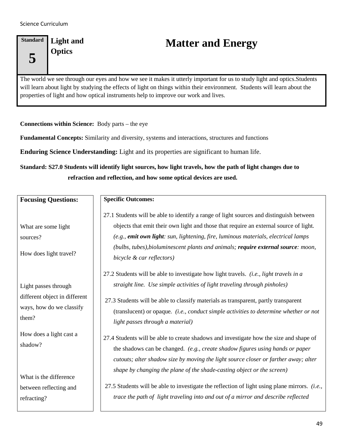### **Standard 5 Light and**

# Light and **Matter and Energy**<br>Optics

The world we see through our eyes and how we see it makes it utterly important for us to study light and optics.Students will learn about light by studying the effects of light on things within their environment. Students will learn about the properties of light and how optical instruments help to improve our work and lives.

**Connections within Science:** Body parts – the eye

**Fundamental Concepts:** Similarity and diversity, systems and interactions, structures and functions

**Enduring Science Understanding:** Light and its properties are significant to human life.

**Standard: S27.0 Students will identify light sources, how light travels, how the path of light changes due to refraction and reflection, and how some optical devices are used.**

| <b>Focusing Questions:</b>                                                                            | <b>Specific Outcomes:</b>                                                                                                                                                                                                                                                                                                                                                                                                                                                                                                      |
|-------------------------------------------------------------------------------------------------------|--------------------------------------------------------------------------------------------------------------------------------------------------------------------------------------------------------------------------------------------------------------------------------------------------------------------------------------------------------------------------------------------------------------------------------------------------------------------------------------------------------------------------------|
| What are some light<br>sources?<br>How does light travel?                                             | 27.1 Students will be able to identify a range of light sources and distinguish between<br>objects that emit their own light and those that require an external source of light.<br>(e.g., emit own light: sun, lightening, fire, luminous materials, electrical lamps<br>(bulbs, tubes), bioluminescent plants and animals; require external source: moon,<br>bicycle & car reflectors)                                                                                                                                       |
| Light passes through<br>different object in different<br>ways, how do we classify<br>them?            | 27.2 Students will be able to investigate how light travels. (i.e., light travels in a<br>straight line. Use simple activities of light traveling through pinholes)<br>27.3 Students will be able to classify materials as transparent, partly transparent<br>(translucent) or opaque. (i.e., conduct simple activities to determine whether or not<br>light passes through a material)                                                                                                                                        |
| How does a light cast a<br>shadow?<br>What is the difference<br>between reflecting and<br>refracting? | 27.4 Students will be able to create shadows and investigate how the size and shape of<br>the shadows can be changed. (e.g., create shadow figures using hands or paper<br>cutouts; alter shadow size by moving the light source closer or farther away; alter<br>shape by changing the plane of the shade-casting object or the screen)<br>27.5 Students will be able to investigate the reflection of light using plane mirrors. (i.e.,<br>trace the path of light traveling into and out of a mirror and describe reflected |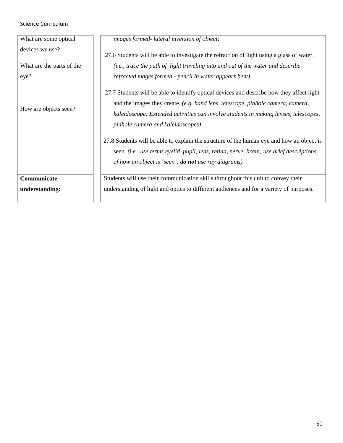| What are some optical     | images formed-lateral inversion of object)                                                                                                                                                                                                                                                                |
|---------------------------|-----------------------------------------------------------------------------------------------------------------------------------------------------------------------------------------------------------------------------------------------------------------------------------------------------------|
| devices we use?           | 27.6 Students will be able to investigate the refraction of light using a glass of water.                                                                                                                                                                                                                 |
| What are the parts of the | (i.e., trace the path of light traveling into and out of the water and describe                                                                                                                                                                                                                           |
| eye?                      | refracted mages formed - pencil in water appears bent)                                                                                                                                                                                                                                                    |
| How are objects seen?     | 27.7 Students will be able to identify optical devices and describe how they affect light<br>and the images they create. (e.g. hand lens, telescope, pinhole camera, camera,<br>kaleidoscope; Extended activities can involve students in making lenses, telescopes,<br>pinhole camera and kaleidoscopes) |
|                           | 27.8 Students will be able to explain the structure of the human eye and how an object is<br>seen. (i.e., use terms eyelid, pupil, lens, retina, nerve, brain; use brief descriptions<br>of how an object is 'seen'; <b>do not</b> use ray diagrams)                                                      |
| Communicate               | Students will use their communication skills throughout this unit to convey their                                                                                                                                                                                                                         |
| understanding:            | understanding of light and optics to different audiences and for a variety of purposes.                                                                                                                                                                                                                   |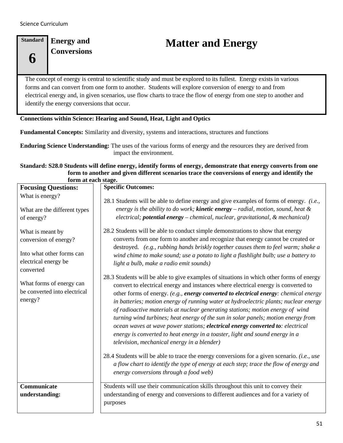### **Standard 6 Energy and**

# Energy and **Matter and Energy**<br>
Conversions

The concept of energy is central to scientific study and must be explored to its fullest. Energy exists in various forms and can convert from one form to another. Students will explore conversion of energy to and from electrical energy and, in given scenarios, use flow charts to trace the flow of energy from one step to another and identify the energy conversions that occur.

#### **Connections within Science: Hearing and Sound, Heat, Light and Optics**

**Fundamental Concepts:** Similarity and diversity, systems and interactions, structures and functions

**Enduring Science Understanding:** The uses of the various forms of energy and the resources they are derived from impact the environment.

#### **Standard: S28.0 Students will define energy, identify forms of energy, demonstrate that energy converts from one form to another and given different scenarios trace the conversions of energy and identify the form at each stage.**

| TOLIH AT CACH STAGU.                                                                                        |                                                                                                                                                                                                                                                                                                                                                                                                                                                                                                                                                                                                                                                                                                                                                        |  |
|-------------------------------------------------------------------------------------------------------------|--------------------------------------------------------------------------------------------------------------------------------------------------------------------------------------------------------------------------------------------------------------------------------------------------------------------------------------------------------------------------------------------------------------------------------------------------------------------------------------------------------------------------------------------------------------------------------------------------------------------------------------------------------------------------------------------------------------------------------------------------------|--|
| <b>Focusing Questions:</b>                                                                                  | <b>Specific Outcomes:</b>                                                                                                                                                                                                                                                                                                                                                                                                                                                                                                                                                                                                                                                                                                                              |  |
| What is energy?<br>What are the different types<br>of energy?                                               | 28.1 Students will be able to define energy and give examples of forms of energy. (i.e.,<br>energy is the ability to do work; <b>kinetic energy</b> $-$ radial, motion, sound, heat $\&$<br>electrical; potential energy - chemical, nuclear, gravitational, & mechanical)                                                                                                                                                                                                                                                                                                                                                                                                                                                                             |  |
| What is meant by<br>conversion of energy?<br>Into what other forms can<br>electrical energy be<br>converted | 28.2 Students will be able to conduct simple demonstrations to show that energy<br>converts from one form to another and recognize that energy cannot be created or<br>destroyed. (e.g., rubbing hands briskly together causes them to feel warm; shake a<br>wind chime to make sound; use a potato to light a flashlight bulb; use a battery to<br>light a bulb, make a radio emit sounds)                                                                                                                                                                                                                                                                                                                                                            |  |
| What forms of energy can<br>be converted into electrical<br>energy?                                         | 28.3 Students will be able to give examples of situations in which other forms of energy<br>convert to electrical energy and instances where electrical energy is converted to<br>other forms of energy. (e.g., energy converted to electrical energy: chemical energy<br>in batteries; motion energy of running water at hydroelectric plants; nuclear energy<br>of radioactive materials at nuclear generating stations; motion energy of wind<br>turning wind turbines; heat energy of the sun in solar panels; motion energy from<br>ocean waves at wave power stations; electrical energy converted to: electrical<br>energy is converted to heat energy in a toaster, light and sound energy in a<br>television, mechanical energy in a blender) |  |
|                                                                                                             | 28.4 Students will be able to trace the energy conversions for a given scenario. (i.e., use<br>a flow chart to identify the type of energy at each step; trace the flow of energy and<br>energy conversions through a food web)                                                                                                                                                                                                                                                                                                                                                                                                                                                                                                                        |  |
| Communicate<br>understanding:                                                                               | Students will use their communication skills throughout this unit to convey their<br>understanding of energy and conversions to different audiences and for a variety of<br>purposes                                                                                                                                                                                                                                                                                                                                                                                                                                                                                                                                                                   |  |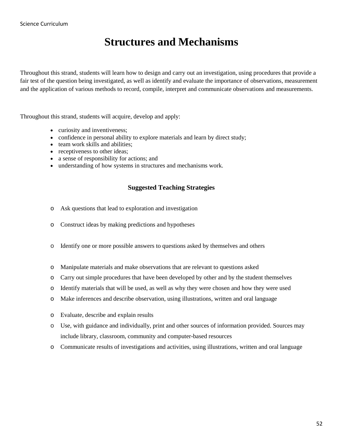### **Structures and Mechanisms**

Throughout this strand, students will learn how to design and carry out an investigation, using procedures that provide a fair test of the question being investigated, as well as identify and evaluate the importance of observations, measurement and the application of various methods to record, compile, interpret and communicate observations and measurements.

Throughout this strand, students will acquire, develop and apply:

- curiosity and inventiveness;
- confidence in personal ability to explore materials and learn by direct study;
- team work skills and abilities;
- receptiveness to other ideas;
- a sense of responsibility for actions; and
- understanding of how systems in structures and mechanisms work.

#### **Suggested Teaching Strategies**

- o Ask questions that lead to exploration and investigation
- o Construct ideas by making predictions and hypotheses
- o Identify one or more possible answers to questions asked by themselves and others
- o Manipulate materials and make observations that are relevant to questions asked
- o Carry out simple procedures that have been developed by other and by the student themselves
- o Identify materials that will be used, as well as why they were chosen and how they were used
- o Make inferences and describe observation, using illustrations, written and oral language
- o Evaluate, describe and explain results
- o Use, with guidance and individually, print and other sources of information provided. Sources may include library, classroom, community and computer-based resources
- o Communicate results of investigations and activities, using illustrations, written and oral language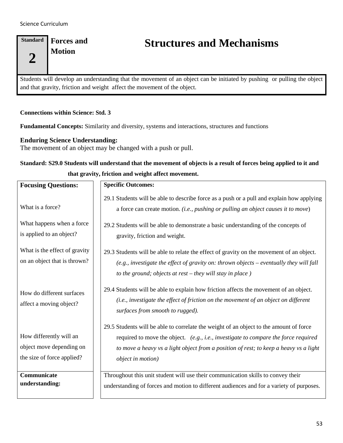**Standard 2 Forces and Motion**

## **Structures and Mechanisms**

Students will develop an understanding that the movement of an object can be initiated by pushing or pulling the object and that gravity, friction and weight affect the movement of the object.

#### **Connections within Science: Std. 3**

**Fundamental Concepts:** Similarity and diversity, systems and interactions, structures and functions

#### **Enduring Science Understanding:**

The movement of an object may be changed with a push or pull.

### **Standard: S29.0 Students will understand that the movement of objects is a result of forces being applied to it and that gravity, friction and weight affect movement.**

| <b>Focusing Questions:</b>                                                        | <b>Specific Outcomes:</b>                                                                                                                                                                                                                                                                           |
|-----------------------------------------------------------------------------------|-----------------------------------------------------------------------------------------------------------------------------------------------------------------------------------------------------------------------------------------------------------------------------------------------------|
| What is a force?                                                                  | 29.1 Students will be able to describe force as a push or a pull and explain how applying<br>a force can create motion. (i.e., pushing or pulling an object causes it to move)                                                                                                                      |
| What happens when a force<br>is applied to an object?                             | 29.2 Students will be able to demonstrate a basic understanding of the concepts of<br>gravity, friction and weight.                                                                                                                                                                                 |
| What is the effect of gravity<br>on an object that is thrown?                     | 29.3 Students will be able to relate the effect of gravity on the movement of an object.<br>(e.g., investigate the effect of gravity on: thrown objects $-$ eventually they will fall<br>to the ground; objects at $rest - they$ will stay in place)                                                |
| How do different surfaces<br>affect a moving object?                              | 29.4 Students will be able to explain how friction affects the movement of an object.<br>(i.e., investigate the effect of friction on the movement of an object on different<br>surfaces from smooth to rugged).                                                                                    |
| How differently will an<br>object move depending on<br>the size of force applied? | 29.5 Students will be able to correlate the weight of an object to the amount of force<br>required to move the object. (e.g., i.e., investigate to compare the force required<br>to move a heavy vs a light object from a position of rest; to keep a heavy vs a light<br><i>object in motion</i> ) |
| Communicate<br>understanding:                                                     | Throughout this unit student will use their communication skills to convey their<br>understanding of forces and motion to different audiences and for a variety of purposes.                                                                                                                        |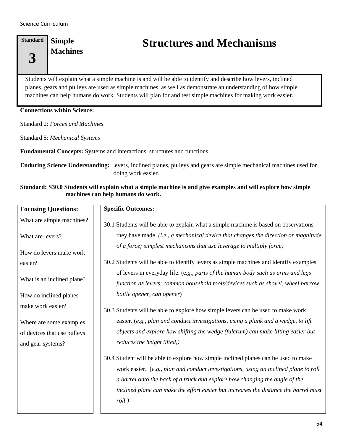**Standard 3 Simple Machines**

## **Structures and Mechanisms**

Students will explain what a simple machine is and will be able to identify and describe how levers, inclined planes, gears and pulleys are used as simple machines, as well as demonstrate an understanding of how simple machines can help humans do work. Students will plan for and test simple machines for making work easier.

#### **Connections within Science:**

Standard 2: *Forces and Machines*

Standard 5: *Mechanical Systems*

**Fundamental Concepts:** Systems and interactions, structures and functions

**Enduring Science Understanding:** Levers, inclined planes, pulleys and gears are simple mechanical machines used for doing work easier.

#### **Standard: S30.0 Students will explain what a simple machine is and give examples and will explore how simple machines can help humans do work.**

| <b>Focusing Questions:</b>  | <b>Specific Outcomes:</b>                                                                                                                                                                                                                                                                                                                                       |
|-----------------------------|-----------------------------------------------------------------------------------------------------------------------------------------------------------------------------------------------------------------------------------------------------------------------------------------------------------------------------------------------------------------|
| What are simple machines?   | 30.1 Students will be able to explain what a simple machine is based on observations                                                                                                                                                                                                                                                                            |
| What are levers?            | they have made. (i.e., a mechanical device that changes the direction or magnitude                                                                                                                                                                                                                                                                              |
| How do levers make work     | of a force; simplest mechanisms that use leverage to multiply force)                                                                                                                                                                                                                                                                                            |
| easier?                     | 30.2 Students will be able to identify levers as simple machines and identify examples                                                                                                                                                                                                                                                                          |
| What is an inclined plane?  | of levers in everyday life. (e.g., parts of the human body such as arms and legs<br>function as levers; common household tools/devices such as shovel, wheel barrow,                                                                                                                                                                                            |
| How do inclined planes      | bottle opener, can opener)                                                                                                                                                                                                                                                                                                                                      |
| make work easier?           | 30.3 Students will be able to explore how simple levers can be used to make work                                                                                                                                                                                                                                                                                |
| Where are some examples     | easier. (e.g., plan and conduct investigations, using a plank and a wedge, to lift                                                                                                                                                                                                                                                                              |
| of devices that use pulleys | objects and explore how shifting the wedge (fulcrum) can make lifting easier but                                                                                                                                                                                                                                                                                |
| and gear systems?           | reduces the height lifted,)                                                                                                                                                                                                                                                                                                                                     |
|                             | 30.4 Student will be able to explore how simple inclined planes can be used to make<br>work easier. (e.g., plan and conduct investigations, using an inclined plane to roll<br>a barrel onto the back of a truck and explore how changing the angle of the<br>inclined plane can make the effort easier but increases the distance the barrel must<br>$roll.$ ) |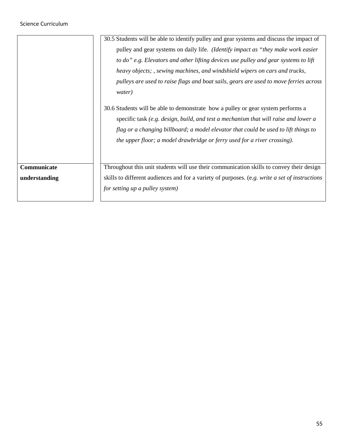|               | 30.5 Students will be able to identify pulley and gear systems and discuss the impact of       |  |
|---------------|------------------------------------------------------------------------------------------------|--|
|               | pulley and gear systems on daily life. ( <i>Identify impact as "they make work easier</i> ")   |  |
|               | to do" e.g. Elevators and other lifting devices use pulley and gear systems to lift            |  |
|               | heavy objects; , sewing machines, and windshield wipers on cars and trucks,                    |  |
|               | pulleys are used to raise flags and boat sails, gears are used to move ferries across          |  |
|               | water)                                                                                         |  |
|               | 30.6 Students will be able to demonstrate how a pulley or gear system performs a               |  |
|               | specific task (e.g. design, build, and test a mechanism that will raise and lower a            |  |
|               | flag or a changing billboard; a model elevator that could be used to lift things to            |  |
|               | the upper floor; a model drawbridge or ferry used for a river crossing).                       |  |
|               |                                                                                                |  |
|               |                                                                                                |  |
| Communicate   | Throughout this unit students will use their communication skills to convey their design       |  |
| understanding | skills to different audiences and for a variety of purposes. (e.g. write a set of instructions |  |
|               | for setting up a pulley system)                                                                |  |
|               |                                                                                                |  |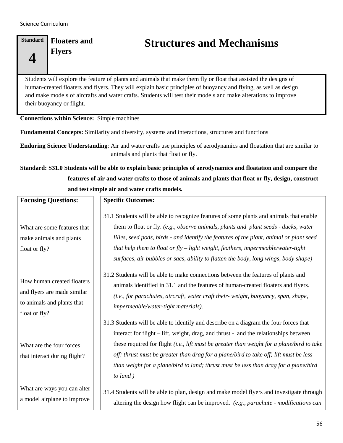#### **Standard 4 Floaters and Flyers**

## **Structures and Mechanisms**

Students will explore the feature of plants and animals that make them fly or float that assisted the designs of human-created floaters and flyers. They will explain basic principles of buoyancy and flying, as well as design and make models of aircrafts and water crafts. Students will test their models and make alterations to improve their buoyancy or flight.

#### **Connections within Science:** Simple machines

**Fundamental Concepts:** Similarity and diversity, systems and interactions, structures and functions

**Enduring Science Understanding**: Air and water crafts use principles of aerodynamics and floatation that are similar to animals and plants that float or fly.

**Standard: S31.0 Students will be able to explain basic principles of aerodynamics and floatation and compare the features of air and water crafts to those of animals and plants that float or fly, design, construct and test simple air and water crafts models.** 

| <b>Focusing Questions:</b>                                                                               | <b>Specific Outcomes:</b>                                                                                                                                                                                                                                                                                                                                                                                                                                                |
|----------------------------------------------------------------------------------------------------------|--------------------------------------------------------------------------------------------------------------------------------------------------------------------------------------------------------------------------------------------------------------------------------------------------------------------------------------------------------------------------------------------------------------------------------------------------------------------------|
| What are some features that<br>make animals and plants<br>float or fly?                                  | 31.1 Students will be able to recognize features of some plants and animals that enable<br>them to float or fly. (e.g., observe animals, plants and plant seeds - ducks, water<br>lilies, seed pods, birds - and identify the features of the plant, animal or plant seed<br>that help them to float or fly - light weight, feathers, impermeable/water-tight<br>surfaces, air bubbles or sacs, ability to flatten the body, long wings, body shape)                     |
| How human created floaters<br>and flyers are made similar<br>to animals and plants that<br>float or fly? | 31.2 Students will be able to make connections between the features of plants and<br>animals identified in 31.1 and the features of human-created floaters and flyers.<br>(i.e., for parachutes, aircraft, water craft their-weight, buoyancy, span, shape,<br>impermeable/water-tight materials).                                                                                                                                                                       |
| What are the four forces<br>that interact during flight?                                                 | 31.3 Students will be able to identify and describe on a diagram the four forces that<br>interact for flight – lift, weight, drag, and thrust - and the relationships between<br>these required for flight (i.e., lift must be greater than weight for a plane/bird to take<br>off; thrust must be greater than drag for a plane/bird to take off; lift must be less<br>than weight for a plane/bird to land; thrust must be less than drag for a plane/bird<br>to land) |
| What are ways you can alter<br>a model airplane to improve                                               | 31.4 Students will be able to plan, design and make model flyers and investigate through<br>altering the design how flight can be improved. (e.g., parachute - modifications can                                                                                                                                                                                                                                                                                         |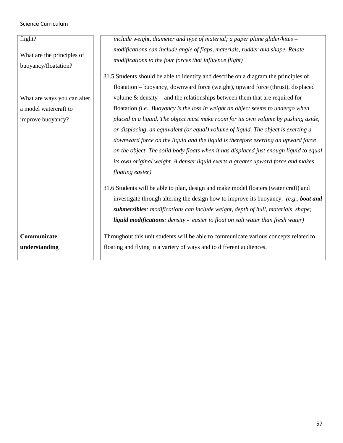| flight?                                            | include weight, diameter and type of material; a paper plane glider/kites -                                                              |
|----------------------------------------------------|------------------------------------------------------------------------------------------------------------------------------------------|
| What are the principles of<br>buoyancy/floatation? | modifications can include angle of flaps, materials, rudder and shape. Relate<br>modifications to the four forces that influence flight) |
|                                                    | 31.5 Students should be able to identify and describe on a diagram the principles of                                                     |
|                                                    | floatation – buoyancy, downward force (weight), upward force (thrust), displaced                                                         |
| What are ways you can alter                        | volume $\&$ density - and the relationships between them that are required for                                                           |
| a model watercraft to                              | floatation (i.e., Buoyancy is the loss in weight an object seems to undergo when                                                         |
| improve buoyancy?                                  | placed in a liquid. The object must make room for its own volume by pushing aside,                                                       |
|                                                    | or displacing, an equivalent (or equal) volume of liquid. The object is exerting a                                                       |
|                                                    | downward force on the liquid and the liquid is therefore exerting an upward force                                                        |
|                                                    | on the object. The solid body floats when it has displaced just enough liquid to equal                                                   |
|                                                    | its own original weight. A denser liquid exerts a greater upward force and makes                                                         |
|                                                    | floating easier)                                                                                                                         |
|                                                    | 31.6 Students will be able to plan, design and make model floaters (water craft) and                                                     |
|                                                    | investigate through altering the design how to improve its buoyancy. (e.g., boat and                                                     |
|                                                    | submersibles: modifications can include weight, depth of hull, materials, shape;                                                         |
|                                                    | liquid modifications: density - easier to float on salt water than fresh water)                                                          |
|                                                    |                                                                                                                                          |
| Communicate                                        | Throughout this unit students will be able to communicate various concepts related to                                                    |
| understanding                                      | floating and flying in a variety of ways and to different audiences.                                                                     |
|                                                    |                                                                                                                                          |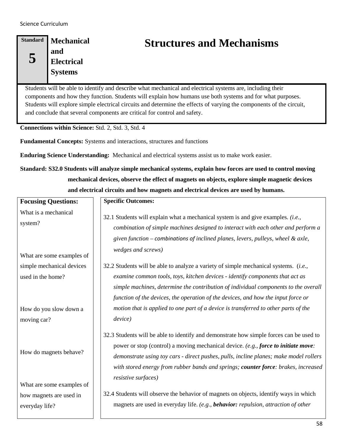| Standard | Mechanical        |
|----------|-------------------|
|          | and               |
|          | <b>Electrical</b> |
|          | <b>Systems</b>    |
|          |                   |

## **Structures and Mechanisms**

Students will be able to identify and describe what mechanical and electrical systems are, including their components and how they function. Students will explain how humans use both systems and for what purposes. Students will explore simple electrical circuits and determine the effects of varying the components of the circuit, and conclude that several components are critical for control and safety.

**Connections within Science:** Std. 2, Std. 3, Std. 4

**Fundamental Concepts:** Systems and interactions, structures and functions

**Enduring Science Understanding:** Mechanical and electrical systems assist us to make work easier.

**Standard: S32.0 Students will analyze simple mechanical systems, explain how forces are used to control moving mechanical devices, observe the effect of magnets on objects, explore simple magnetic devices and electrical circuits and how magnets and electrical devices are used by humans.**

| <b>Focusing Questions:</b>                                             | <b>Specific Outcomes:</b>                                                                                                                                                                                                                                                                                                                                                           |
|------------------------------------------------------------------------|-------------------------------------------------------------------------------------------------------------------------------------------------------------------------------------------------------------------------------------------------------------------------------------------------------------------------------------------------------------------------------------|
| What is a mechanical<br>system?                                        | 32.1 Students will explain what a mechanical system is and give examples. (i.e.,<br>combination of simple machines designed to interact with each other and perform a<br>given function – combinations of inclined planes, levers, pulleys, wheel & axle,<br>wedges and screws)                                                                                                     |
| What are some examples of                                              |                                                                                                                                                                                                                                                                                                                                                                                     |
| simple mechanical devices<br>used in the home?                         | 32.2 Students will be able to analyze a variety of simple mechanical systems. (i.e.,<br>examine common tools, toys, kitchen devices - identify components that act as<br>simple machines, determine the contribution of individual components to the overall<br>function of the devices, the operation of the devices, and how the input force or                                   |
| How do you slow down a<br>moving car?                                  | motion that is applied to one part of a device is transferred to other parts of the<br>device)                                                                                                                                                                                                                                                                                      |
| How do magnets behave?                                                 | 32.3 Students will be able to identify and demonstrate how simple forces can be used to<br>power or stop (control) a moving mechanical device. (e.g., force to initiate move:<br>demonstrate using toy cars - direct pushes, pulls, incline planes; make model rollers<br>with stored energy from rubber bands and springs; counter force: brakes, increased<br>resistive surfaces) |
| What are some examples of<br>how magnets are used in<br>everyday life? | 32.4 Students will observe the behavior of magnets on objects, identify ways in which<br>magnets are used in everyday life. (e.g., behavior: repulsion, attraction of other                                                                                                                                                                                                         |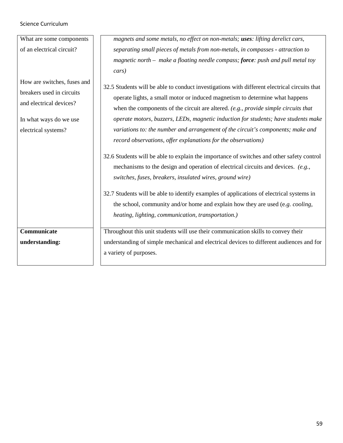| What are some components                                                                                                             | magnets and some metals, no effect on non-metals; uses: lifting derelict cars,                                                                                                                                                                                                                                                                                                                                                                                                                                  |
|--------------------------------------------------------------------------------------------------------------------------------------|-----------------------------------------------------------------------------------------------------------------------------------------------------------------------------------------------------------------------------------------------------------------------------------------------------------------------------------------------------------------------------------------------------------------------------------------------------------------------------------------------------------------|
| of an electrical circuit?                                                                                                            | separating small pieces of metals from non-metals, in compasses - attraction to                                                                                                                                                                                                                                                                                                                                                                                                                                 |
|                                                                                                                                      | magnetic north - make a floating needle compass; force: push and pull metal toy                                                                                                                                                                                                                                                                                                                                                                                                                                 |
|                                                                                                                                      | cars)                                                                                                                                                                                                                                                                                                                                                                                                                                                                                                           |
| How are switches, fuses and<br>breakers used in circuits<br>and electrical devices?<br>In what ways do we use<br>electrical systems? | 32.5 Students will be able to conduct investigations with different electrical circuits that<br>operate lights, a small motor or induced magnetism to determine what happens<br>when the components of the circuit are altered. $(e.g., provide simple circuits that$<br>operate motors, buzzers, LEDs, magnetic induction for students; have students make<br>variations to: the number and arrangement of the circuit's components; make and<br>record observations, offer explanations for the observations) |
|                                                                                                                                      | 32.6 Students will be able to explain the importance of switches and other safety control<br>mechanisms to the design and operation of electrical circuits and devices. $(e.g.,)$<br>switches, fuses, breakers, insulated wires, ground wire)<br>32.7 Students will be able to identify examples of applications of electrical systems in<br>the school, community and/or home and explain how they are used (e.g. cooling,<br>heating, lighting, communication, transportation.)                               |
| Communicate                                                                                                                          | Throughout this unit students will use their communication skills to convey their                                                                                                                                                                                                                                                                                                                                                                                                                               |
| understanding:                                                                                                                       | understanding of simple mechanical and electrical devices to different audiences and for                                                                                                                                                                                                                                                                                                                                                                                                                        |
|                                                                                                                                      | a variety of purposes.                                                                                                                                                                                                                                                                                                                                                                                                                                                                                          |
|                                                                                                                                      |                                                                                                                                                                                                                                                                                                                                                                                                                                                                                                                 |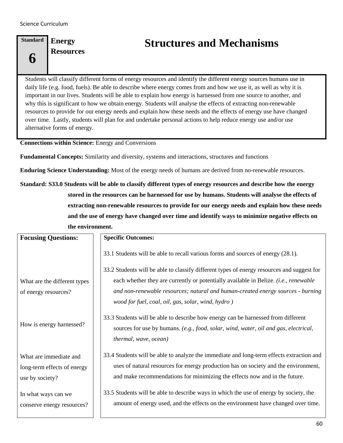**6**

**Standard Energy Resources**

## **Structures and Mechanisms**

Students will classify different forms of energy resources and identify the different energy sources humans use in daily life (e.g. food, fuels). Be able to describe where energy comes from and how we use it, as well as why it is important in our lives. Students will be able to explain how energy is harnessed from one source to another, and why this is significant to how we obtain energy. Students will analyse the effects of extracting non-renewable resources to provide for our energy needs and explain how these needs and the effects of energy use have changed over time. Lastly, students will plan for and undertake personal actions to help reduce energy use and/or use alternative forms of energy.

**Connections within Science:** Energy and Conversions

**Fundamental Concepts:** Similarity and diversity, systems and interactions, structures and functions

**Enduring Science Understanding:** Most of the energy needs of humans are derived from no-renewable resources.

**Standard: S33.0 Students will be able to classify different types of energy resources and describe how the energy stored in the resources can be harnessed for use by humans. Students will analyse the effects of extracting non-renewable resources to provide for our energy needs and explain how these needs and the use of energy have changed over time and identify ways to minimize negative effects on the environment.**

| <b>Focusing Questions:</b>                                               | <b>Specific Outcomes:</b>                                                                                                                                                                                                                                                                                                   |
|--------------------------------------------------------------------------|-----------------------------------------------------------------------------------------------------------------------------------------------------------------------------------------------------------------------------------------------------------------------------------------------------------------------------|
|                                                                          | 33.1 Students will be able to recall various forms and sources of energy (28.1).                                                                                                                                                                                                                                            |
| What are the different types<br>of energy resources?                     | 33.2 Students will be able to classify different types of energy resources and suggest for<br>each whether they are currently or potentially available in Belize. (i.e., renewable<br>and non-renewable resources; natural and human-created energy sources - burning<br>wood for fuel, coal, oil, gas, solar, wind, hydro) |
| How is energy harnessed?                                                 | 33.3 Students will be able to describe how energy can be harnessed from different<br>sources for use by humans. (e.g., food, solar, wind, water, oil and gas, electrical,<br>thermal, wave, ocean)                                                                                                                          |
| What are immediate and<br>long-term effects of energy<br>use by society? | 33.4 Students will be able to analyze the immediate and long-term effects extraction and<br>uses of natural resources for energy production has on society and the environment,<br>and make recommendations for minimizing the effects now and in the future.                                                               |
| In what ways can we<br>conserve energy resources?                        | 33.5 Students will be able to describe ways in which the use of energy by society, the<br>amount of energy used, and the effects on the environment have changed over time.                                                                                                                                                 |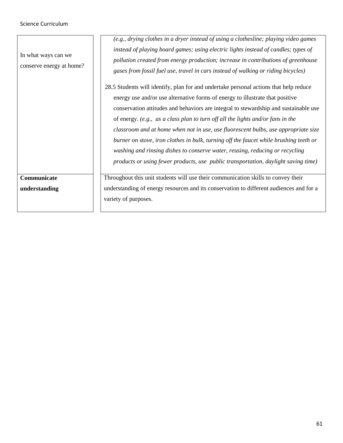| In what ways can we<br>conserve energy at home? | (e.g., drying clothes in a dryer instead of using a clothesline; playing video games<br>instead of playing board games; using electric lights instead of candles; types of<br>pollution created from energy production; increase in contributions of greenhouse<br>gases from fossil fuel use, travel in cars instead of walking or riding bicycles)                                                                                                                                                                                                                                                                                                                                                          |
|-------------------------------------------------|---------------------------------------------------------------------------------------------------------------------------------------------------------------------------------------------------------------------------------------------------------------------------------------------------------------------------------------------------------------------------------------------------------------------------------------------------------------------------------------------------------------------------------------------------------------------------------------------------------------------------------------------------------------------------------------------------------------|
|                                                 | 28.5 Students will identify, plan for and undertake personal actions that help reduce<br>energy use and/or use alternative forms of energy to illustrate that positive<br>conservation attitudes and behaviors are integral to stewardship and sustainable use<br>of energy. (e.g., as a class plan to turn off all the lights and/or fans in the<br>classroom and at home when not in use, use fluorescent bulbs, use appropriate size<br>burner on stove, iron clothes in bulk, turning off the faucet while brushing teeth or<br>washing and rinsing dishes to conserve water, reusing, reducing or recycling<br><i>products or using fewer products, use public transportation, daylight saving time)</i> |
| Communicate<br>understanding                    | Throughout this unit students will use their communication skills to convey their<br>understanding of energy resources and its conservation to different audiences and for a<br>variety of purposes.                                                                                                                                                                                                                                                                                                                                                                                                                                                                                                          |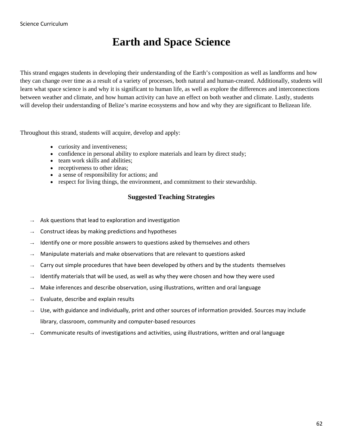## **Earth and Space Science**

This strand engages students in developing their understanding of the Earth's composition as well as landforms and how they can change over time as a result of a variety of processes, both natural and human-created. Additionally, students will learn what space science is and why it is significant to human life, as well as explore the differences and interconnections between weather and climate, and how human activity can have an effect on both weather and climate. Lastly, students will develop their understanding of Belize's marine ecosystems and how and why they are significant to Belizean life.

Throughout this strand, students will acquire, develop and apply:

- curiosity and inventiveness;
- confidence in personal ability to explore materials and learn by direct study;
- team work skills and abilities:
- receptiveness to other ideas;
- a sense of responsibility for actions; and
- respect for living things, the environment, and commitment to their stewardship.

#### **Suggested Teaching Strategies**

- Ask questions that lead to exploration and investigation
- Construct ideas by making predictions and hypotheses
- Identify one or more possible answers to questions asked by themselves and others
- Manipulate materials and make observations that are relevant to questions asked
- Carry out simple procedures that have been developed by others and by the students themselves
- Identify materials that will be used, as well as why they were chosen and how they were used
- Make inferences and describe observation, using illustrations, written and oral language
- Evaluate, describe and explain results
- Use, with guidance and individually, print and other sources of information provided. Sources may include library, classroom, community and computer-based resources
- Communicate results of investigations and activities, using illustrations, written and oral language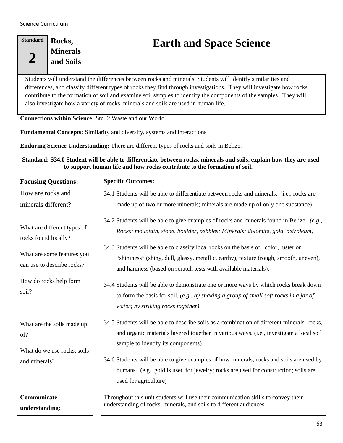| <b>Standard</b> | Rocks,          |
|-----------------|-----------------|
|                 | <b>Minerals</b> |
|                 | and Soils       |
|                 |                 |

# **Earth and Space Science**

Students will understand the differences between rocks and minerals. Students will identify similarities and differences, and classify different types of rocks they find through investigations. They will investigate how rocks contribute to the formation of soil and examine soil samples to identify the components of the samples. They will also investigate how a variety of rocks, minerals and soils are used in human life.

**Connections within Science:** Std. 2 Waste and our World

**Fundamental Concepts:** Similarity and diversity, systems and interactions

**Enduring Science Understanding:** There are different types of rocks and soils in Belize.

**Standard: S34.0 Student will be able to differentiate between rocks, minerals and soils, explain how they are used to support human life and how rocks contribute to the formation of soil.**

| <b>Focusing Questions:</b>                                                                                                                | <b>Specific Outcomes:</b>                                                                                                                                                                                                                                                                                                                                                                                                                                                                                                 |
|-------------------------------------------------------------------------------------------------------------------------------------------|---------------------------------------------------------------------------------------------------------------------------------------------------------------------------------------------------------------------------------------------------------------------------------------------------------------------------------------------------------------------------------------------------------------------------------------------------------------------------------------------------------------------------|
| How are rocks and                                                                                                                         | 34.1 Students will be able to differentiate between rocks and minerals. (i.e., rocks are                                                                                                                                                                                                                                                                                                                                                                                                                                  |
| minerals different?                                                                                                                       | made up of two or more minerals; minerals are made up of only one substance)                                                                                                                                                                                                                                                                                                                                                                                                                                              |
| What are different types of<br>rocks found locally?<br>What are some features you<br>can use to describe rocks?<br>How do rocks help form | 34.2 Students will be able to give examples of rocks and minerals found in Belize. $(e.g.,)$<br>Rocks: mountain, stone, boulder, pebbles; Minerals: dolomite, gold, petroleum)<br>34.3 Students will be able to classify local rocks on the basis of color, luster or<br>"shininess" (shiny, dull, glassy, metallic, earthy), texture (rough, smooth, uneven),<br>and hardness (based on scratch tests with available materials).<br>34.4 Students will be able to demonstrate one or more ways by which rocks break down |
| soil?                                                                                                                                     | to form the basis for soil. (e.g., by shaking a group of small soft rocks in a jar of<br>water; by striking rocks together)                                                                                                                                                                                                                                                                                                                                                                                               |
| What are the soils made up<br>of?<br>What do we use rocks, soils                                                                          | 34.5 Students will be able to describe soils as a combination of different minerals, rocks,<br>and organic materials layered together in various ways. (i.e., investigate a local soil<br>sample to identify its components)                                                                                                                                                                                                                                                                                              |
| and minerals?                                                                                                                             | 34.6 Students will be able to give examples of how minerals, rocks and soils are used by<br>humans. (e.g., gold is used for jewelry; rocks are used for construction; soils are<br>used for agriculture)                                                                                                                                                                                                                                                                                                                  |
| Communicate<br>understanding:                                                                                                             | Throughout this unit students will use their communication skills to convey their<br>understanding of rocks, minerals, and soils to different audiences.                                                                                                                                                                                                                                                                                                                                                                  |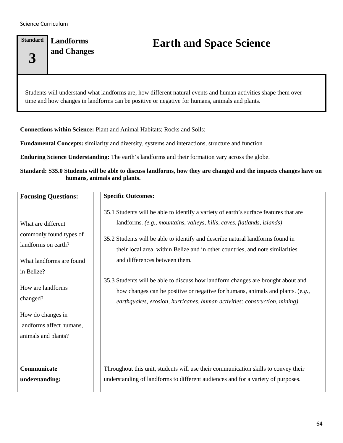### **Standard 3 Landforms**

# **and Changes Earth and Space Science**

Students will understand what landforms are, how different natural events and human activities shape them over time and how changes in landforms can be positive or negative for humans, animals and plants.

**Connections within Science:** Plant and Animal Habitats; Rocks and Soils;

**Fundamental Concepts:** similarity and diversity, systems and interactions, structure and function

**Enduring Science Understanding:** The earth's landforms and their formation vary across the globe.

#### **Standard: S35.0 Students will be able to discuss landforms, how they are changed and the impacts changes have on humans, animals and plants.**

| <b>Focusing Questions:</b>                                                                                     | <b>Specific Outcomes:</b>                                                                                                                                                                                                                                                                                                                                                                                                                                |
|----------------------------------------------------------------------------------------------------------------|----------------------------------------------------------------------------------------------------------------------------------------------------------------------------------------------------------------------------------------------------------------------------------------------------------------------------------------------------------------------------------------------------------------------------------------------------------|
| What are different<br>commonly found types of<br>landforms on earth?<br>What landforms are found<br>in Belize? | 35.1 Students will be able to identify a variety of earth's surface features that are<br>landforms. (e.g., mountains, valleys, hills, caves, flatlands, islands)<br>35.2 Students will be able to identify and describe natural landforms found in<br>their local area, within Belize and in other countries, and note similarities<br>and differences between them.<br>35.3 Students will be able to discuss how landform changes are brought about and |
| How are landforms<br>changed?                                                                                  | how changes can be positive or negative for humans, animals and plants. (e.g.,<br>earthquakes, erosion, hurricanes, human activities: construction, mining)                                                                                                                                                                                                                                                                                              |
| How do changes in<br>landforms affect humans,<br>animals and plants?                                           |                                                                                                                                                                                                                                                                                                                                                                                                                                                          |
| Communicate<br>understanding:                                                                                  | Throughout this unit, students will use their communication skills to convey their<br>understanding of landforms to different audiences and for a variety of purposes.                                                                                                                                                                                                                                                                                   |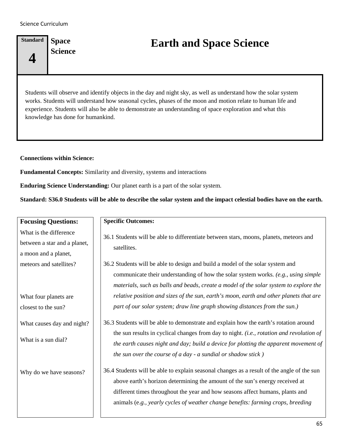**4**

**Standard Space** 

**Science Earth and Space Science**

Students will observe and identify objects in the day and night sky, as well as understand how the solar system works. Students will understand how seasonal cycles, phases of the moon and motion relate to human life and experience. Students will also be able to demonstrate an understanding of space exploration and what this knowledge has done for humankind.

**Connections within Science:** 

**Fundamental Concepts:** Similarity and diversity, systems and interactions

**Enduring Science Understanding:** Our planet earth is a part of the solar system.

**Standard: S36.0 Students will be able to describe the solar system and the impact celestial bodies have on the earth.**

| <b>Focusing Questions:</b>                                                     | <b>Specific Outcomes:</b>                                                                                                                                                                                                                                                                                                                       |
|--------------------------------------------------------------------------------|-------------------------------------------------------------------------------------------------------------------------------------------------------------------------------------------------------------------------------------------------------------------------------------------------------------------------------------------------|
| What is the difference<br>between a star and a planet,<br>a moon and a planet, | 36.1 Students will be able to differentiate between stars, moons, planets, meteors and<br>satellites.                                                                                                                                                                                                                                           |
| meteors and satellites?                                                        | 36.2 Students will be able to design and build a model of the solar system and<br>communicate their understanding of how the solar system works. (e.g., using simple<br>materials, such as balls and beads, create a model of the solar system to explore the                                                                                   |
| What four planets are<br>closest to the sun?                                   | relative position and sizes of the sun, earth's moon, earth and other planets that are<br>part of our solar system; draw line graph showing distances from the sun.)                                                                                                                                                                            |
| What causes day and night?                                                     | 36.3 Students will be able to demonstrate and explain how the earth's rotation around                                                                                                                                                                                                                                                           |
| What is a sun dial?                                                            | the sun results in cyclical changes from day to night. (i.e., rotation and revolution of<br>the earth causes night and day; build a device for plotting the apparent movement of<br>the sun over the course of $a$ day - $a$ sundial or shadow stick)                                                                                           |
| Why do we have seasons?                                                        | 36.4 Students will be able to explain seasonal changes as a result of the angle of the sun<br>above earth's horizon determining the amount of the sun's energy received at<br>different times throughout the year and how seasons affect humans, plants and<br>animals (e.g., yearly cycles of weather change benefits: farming crops, breeding |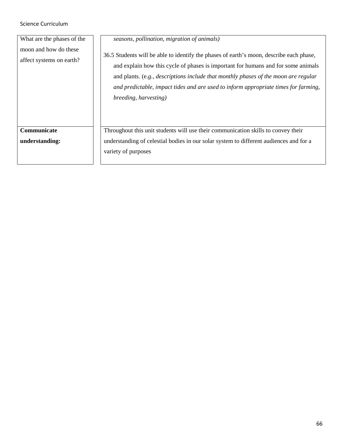| seasons, pollination, migration of animals)                                                                                                                                                                                                                                                                                                                                                |
|--------------------------------------------------------------------------------------------------------------------------------------------------------------------------------------------------------------------------------------------------------------------------------------------------------------------------------------------------------------------------------------------|
| 36.5 Students will be able to identify the phases of earth's moon, describe each phase,<br>and explain how this cycle of phases is important for humans and for some animals<br>and plants. (e.g., <i>descriptions include that monthly phases of the moon are regular</i><br>and predictable, impact tides and are used to inform appropriate times for farming,<br>breeding, harvesting) |
| Throughout this unit students will use their communication skills to convey their                                                                                                                                                                                                                                                                                                          |
| understanding of celestial bodies in our solar system to different audiences and for a                                                                                                                                                                                                                                                                                                     |
| variety of purposes                                                                                                                                                                                                                                                                                                                                                                        |
|                                                                                                                                                                                                                                                                                                                                                                                            |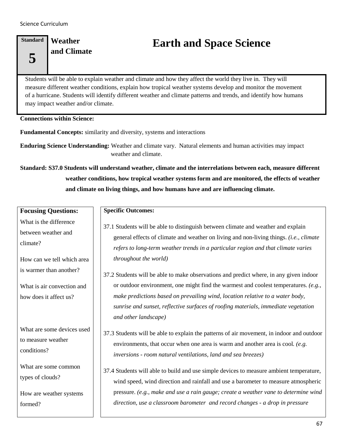### **Standard 5 Weather**

# **and Climate Earth and Space Science**

Students will be able to explain weather and climate and how they affect the world they live in. They will measure different weather conditions, explain how tropical weather systems develop and monitor the movement of a hurricane. Students will identify different weather and climate patterns and trends, and identify how humans may impact weather and/or climate.

#### **Connections within Science:**

**Fundamental Concepts:** similarity and diversity, systems and interactions

**Enduring Science Understanding:** Weather and climate vary. Natural elements and human activities may impact weather and climate.

**Standard: S37.0 Students will understand weather, climate and the interrelations between each, measure different weather conditions, how tropical weather systems form and are monitored, the effects of weather and climate on living things, and how humans have and are influencing climate.**

| <b>Focusing Questions:</b>                                                                                                                                                 | <b>Specific Outcomes:</b>                                                                                                                                                                                                                                                                                                                                                                                                                                                                                                                                                                                                                                                   |
|----------------------------------------------------------------------------------------------------------------------------------------------------------------------------|-----------------------------------------------------------------------------------------------------------------------------------------------------------------------------------------------------------------------------------------------------------------------------------------------------------------------------------------------------------------------------------------------------------------------------------------------------------------------------------------------------------------------------------------------------------------------------------------------------------------------------------------------------------------------------|
| What is the difference<br>between weather and<br>climate?<br>How can we tell which area<br>is warmer than another?<br>What is air convection and<br>how does it affect us? | 37.1 Students will be able to distinguish between climate and weather and explain<br>general effects of climate and weather on living and non-living things. (i.e., climate<br>refers to long-term weather trends in a particular region and that climate varies<br>throughout the world)<br>37.2 Students will be able to make observations and predict where, in any given indoor<br>or outdoor environment, one might find the warmest and coolest temperatures. $(e.g.,$<br>make predictions based on prevailing wind, location relative to a water body,<br>sunrise and sunset, reflective surfaces of roofing materials, immediate vegetation<br>and other landscape) |
| What are some devices used<br>to measure weather<br>conditions?<br>What are some common<br>types of clouds?<br>How are weather systems<br>formed?                          | 37.3 Students will be able to explain the patterns of air movement, in indoor and outdoor<br>environments, that occur when one area is warm and another area is cool. (e.g.<br>inversions - room natural ventilations, land and sea breezes)<br>37.4 Students will able to build and use simple devices to measure ambient temperature,<br>wind speed, wind direction and rainfall and use a barometer to measure atmospheric<br>pressure. (e.g., make and use a rain gauge; create a weather vane to determine wind<br>direction, use a classroom barometer and record changes - a drop in pressure                                                                        |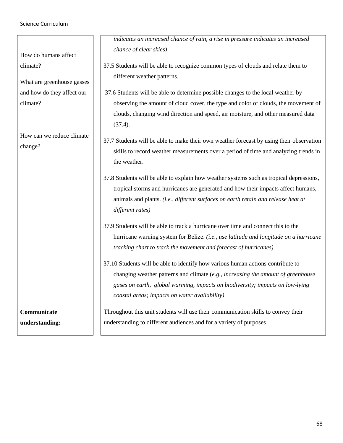|                            | indicates an increased chance of rain, a rise in pressure indicates an increased                                 |
|----------------------------|------------------------------------------------------------------------------------------------------------------|
| How do humans affect       | chance of clear skies)                                                                                           |
| climate?                   | 37.5 Students will be able to recognize common types of clouds and relate them to<br>different weather patterns. |
| What are greenhouse gasses |                                                                                                                  |
| and how do they affect our | 37.6 Students will be able to determine possible changes to the local weather by                                 |
| climate?                   | observing the amount of cloud cover, the type and color of clouds, the movement of                               |
|                            | clouds, changing wind direction and speed, air moisture, and other measured data<br>(37.4).                      |
| How can we reduce climate  | 37.7 Students will be able to make their own weather forecast by using their observation                         |
| change?                    |                                                                                                                  |
|                            | skills to record weather measurements over a period of time and analyzing trends in<br>the weather.              |
|                            | 37.8 Students will be able to explain how weather systems such as tropical depressions,                          |
|                            | tropical storms and hurricanes are generated and how their impacts affect humans,                                |
|                            | animals and plants. (i.e., different surfaces on earth retain and release heat at<br>different rates)            |
|                            | 37.9 Students will be able to track a hurricane over time and connect this to the                                |
|                            | hurricane warning system for Belize. (i.e., use latitude and longitude on a hurricane                            |
|                            | tracking chart to track the movement and forecast of hurricanes)                                                 |
|                            | 37.10 Students will be able to identify how various human actions contribute to                                  |
|                            | changing weather patterns and climate (e.g., increasing the amount of greenhouse                                 |
|                            | gases on earth, global warming, impacts on biodiversity; impacts on low-lying                                    |
|                            | coastal areas; impacts on water availability)                                                                    |
| Communicate                | Throughout this unit students will use their communication skills to convey their                                |
| understanding:             | understanding to different audiences and for a variety of purposes                                               |
|                            |                                                                                                                  |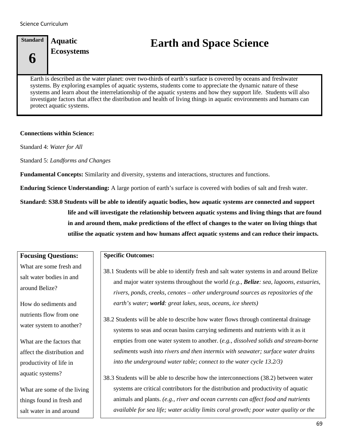# **Standard 6 Aquatic**

**Ecosystems Earth and Space Science**

Earth is described as the water planet: over two-thirds of earth's surface is covered by oceans and freshwater systems. By exploring examples of aquatic systems, students come to appreciate the dynamic nature of these systems and learn about the interrelationship of the aquatic systems and how they support life. Students will also investigate factors that affect the distribution and health of living things in aquatic environments and humans can protect aquatic systems.

#### **Connections within Science:**

Standard 4: *Water for All*

Standard 5: *Landforms and Changes*

**Fundamental Concepts:** Similarity and diversity, systems and interactions, structures and functions.

**Enduring Science Understanding:** A large portion of earth's surface is covered with bodies of salt and fresh water.

**Standard: S38.0 Students will be able to identify aquatic bodies, how aquatic systems are connected and support life and will investigate the relationship between aquatic systems and living things that are found in and around them, make predictions of the effect of changes to the water on living things that utilise the aquatic system and how humans affect aquatic systems and can reduce their impacts.**

#### **Focusing Questions:**

What are some fresh and salt water bodies in and around Belize?

How do sediments and nutrients flow from one water system to another?

What are the factors that affect the distribution and productivity of life in aquatic systems?

What are some of the living things found in fresh and salt water in and around

#### **Specific Outcomes:**

- 38.1 Students will be able to identify fresh and salt water systems in and around Belize and major water systems throughout the world *(e.g., Belize: sea, lagoons, estuaries, rivers, ponds, creeks, cenotes – other underground sources as repositories of the earth's water; world: great lakes, seas, oceans, ice sheets)*
- 38.2 Students will be able to describe how water flows through continental drainage systems to seas and ocean basins carrying sediments and nutrients with it as it empties from one water system to another. (*e.g., dissolved solids and stream-borne sediments wash into rivers and then intermix with seawater; surface water drains into the underground water table; connect to the water cycle 13.2/3)*

38.3 Students will be able to describe how the interconnections (38.2) between water systems are critical contributors for the distribution and productivity of aquatic animals and plants. *(e.g., river and ocean currents can affect food and nutrients available for sea life; water acidity limits coral growth; poor water quality or the*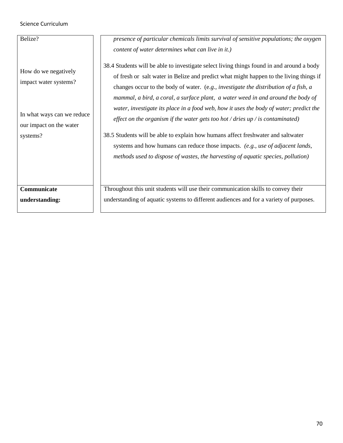| Belize?                                                                                                | presence of particular chemicals limits survival of sensitive populations; the oxygen<br>content of water determines what can live in it.)                                                                                                                                                                                                                                                                                                                                                                                                  |
|--------------------------------------------------------------------------------------------------------|---------------------------------------------------------------------------------------------------------------------------------------------------------------------------------------------------------------------------------------------------------------------------------------------------------------------------------------------------------------------------------------------------------------------------------------------------------------------------------------------------------------------------------------------|
| How do we negatively<br>impact water systems?<br>In what ways can we reduce<br>our impact on the water | 38.4 Students will be able to investigate select living things found in and around a body<br>of fresh or salt water in Belize and predict what might happen to the living things if<br>changes occur to the body of water. (e.g., investigate the distribution of a fish, a<br>mammal, a bird, a coral, a surface plant, a water weed in and around the body of<br>water, investigate its place in a food web, how it uses the body of water; predict the<br>effect on the organism if the water gets too hot / dries up / is contaminated) |
| systems?                                                                                               | 38.5 Students will be able to explain how humans affect freshwater and saltwater<br>systems and how humans can reduce those impacts. (e.g., use of adjacent lands,<br>methods used to dispose of wastes, the harvesting of aquatic species, pollution)                                                                                                                                                                                                                                                                                      |
| Communicate<br>understanding:                                                                          | Throughout this unit students will use their communication skills to convey their<br>understanding of aquatic systems to different audiences and for a variety of purposes.                                                                                                                                                                                                                                                                                                                                                                 |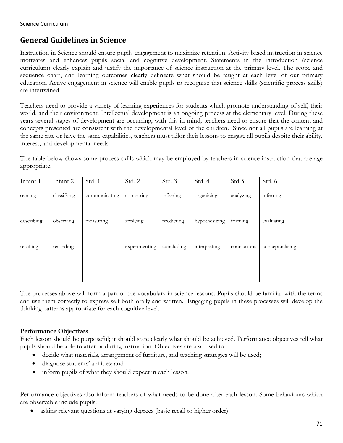# **General Guidelines in Science**

Instruction in Science should ensure pupils engagement to maximize retention. Activity based instruction in science motivates and enhances pupils social and cognitive development. Statements in the introduction (science curriculum) clearly explain and justify the importance of science instruction at the primary level. The scope and sequence chart, and learning outcomes clearly delineate what should be taught at each level of our primary education. Active engagement in science will enable pupils to recognize that science skills (scientific process skills) are intertwined.

Teachers need to provide a variety of learning experiences for students which promote understanding of self, their world, and their environment. Intellectual development is an ongoing process at the elementary level. During these years several stages of development are occurring, with this in mind, teachers need to ensure that the content and concepts presented are consistent with the developmental level of the children. Since not all pupils are learning at the same rate or have the same capabilities, teachers must tailor their lessons to engage all pupils despite their ability, interest, and developmental needs.

The table below shows some process skills which may be employed by teachers in science instruction that are age appropriate.

| Infant 1   | Infant 2    | Std. 1        | Std. 2        | Std. 3     | Std. 4        | Std 5       | Std. 6          |
|------------|-------------|---------------|---------------|------------|---------------|-------------|-----------------|
| sensing    | classifying | communicating | comparing     | inferring  | organizing    | analyzing   | inferring       |
| describing | observing   | measuring     | applying      | predicting | hypothesizing | forming     | evaluating      |
| recalling  | recording   |               | experimenting | concluding | interpreting  | conclusions | conceptualizing |
|            |             |               |               |            |               |             |                 |

The processes above will form a part of the vocabulary in science lessons. Pupils should be familiar with the terms and use them correctly to express self both orally and written. Engaging pupils in these processes will develop the thinking patterns appropriate for each cognitive level.

#### **Performance Objectives**

Each lesson should be purposeful; it should state clearly what should be achieved. Performance objectives tell what pupils should be able to after or during instruction. Objectives are also used to:

- decide what materials, arrangement of furniture, and teaching strategies will be used;
- diagnose students' abilities; and
- inform pupils of what they should expect in each lesson.

Performance objectives also inform teachers of what needs to be done after each lesson. Some behaviours which are observable include pupils:

• asking relevant questions at varying degrees (basic recall to higher order)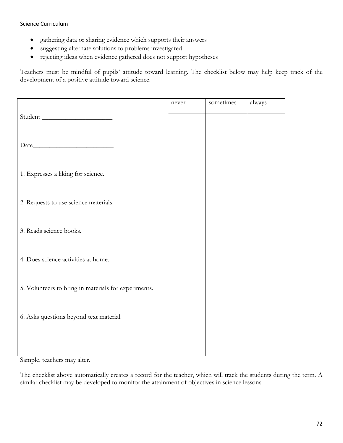- gathering data or sharing evidence which supports their answers
- suggesting alternate solutions to problems investigated
- rejecting ideas when evidence gathered does not support hypotheses

Teachers must be mindful of pupils' attitude toward learning. The checklist below may help keep track of the development of a positive attitude toward science.

|                                                      | never | sometimes | always |
|------------------------------------------------------|-------|-----------|--------|
| Student                                              |       |           |        |
|                                                      |       |           |        |
|                                                      |       |           |        |
|                                                      |       |           |        |
| 1. Expresses a liking for science.                   |       |           |        |
|                                                      |       |           |        |
| 2. Requests to use science materials.                |       |           |        |
|                                                      |       |           |        |
| 3. Reads science books.                              |       |           |        |
|                                                      |       |           |        |
| 4. Does science activities at home.                  |       |           |        |
|                                                      |       |           |        |
| 5. Volunteers to bring in materials for experiments. |       |           |        |
|                                                      |       |           |        |
| 6. Asks questions beyond text material.              |       |           |        |
|                                                      |       |           |        |
|                                                      |       |           |        |
|                                                      |       |           |        |

Sample, teachers may alter.

The checklist above automatically creates a record for the teacher, which will track the students during the term. A similar checklist may be developed to monitor the attainment of objectives in science lessons.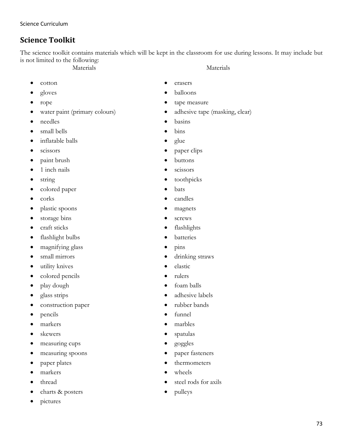# **Science Toolkit**

The science toolkit contains materials which will be kept in the classroom for use during lessons. It may include but is not limited to the following: Materials Materials

- cotton
- gloves
- rope
- water paint (primary colours)
- needles
- small bells
- inflatable balls
- scissors
- paint brush
- 1 inch nails
- string
- colored paper
- corks
- plastic spoons
- storage bins
- craft sticks
- flashlight bulbs
- magnifying glass
- small mirrors
- utility knives
- colored pencils
- play dough
- glass strips
- construction paper
- pencils
- markers
- skewers
- measuring cups
- measuring spoons
- paper plates
- markers
- thread
- charts & posters
- pictures
- erasers
- balloons
- tape measure
- adhesive tape (masking, clear)
- basins
- bins
- glue
- paper clips
- buttons
- scissors
- toothpicks
- bats
- candles
- magnets
- screws
- flashlights
- **batteries**
- pins
- drinking straws
- elastic
- rulers
- foam balls
- adhesive labels
- rubber bands
- funnel
- marbles
- spatulas
- goggles
- paper fasteners
- thermometers
- wheels
- steel rods for axils
- pulleys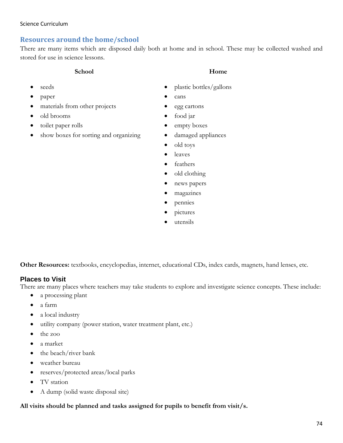## **Resources around the home/school**

There are many items which are disposed daily both at home and in school. These may be collected washed and stored for use in science lessons.

#### **School Home**

- seeds
- paper
- materials from other projects
- old brooms
- toilet paper rolls
- show boxes for sorting and organizing

- plastic bottles/gallons
- cans
- egg cartons
- food jar
- empty boxes
- damaged appliances
- old toys
- leaves
- feathers
- old clothing
- news papers
- magazines
- pennies
- pictures
- utensils

**Other Resources:** textbooks, encyclopedias, internet, educational CDs, index cards, magnets, hand lenses, etc.

#### **Places to Visit**

There are many places where teachers may take students to explore and investigate science concepts. These include:

- a processing plant
- a farm
- a local industry
- utility company (power station, water treatment plant, etc.)
- the zoo
- a market
- the beach/river bank
- weather bureau
- reserves/protected areas/local parks
- TV station
- A dump (solid waste disposal site)

#### **All visits should be planned and tasks assigned for pupils to benefit from visit/s.**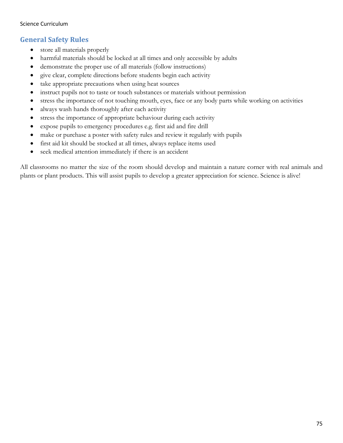## **General Safety Rules**

- store all materials properly
- harmful materials should be locked at all times and only accessible by adults
- demonstrate the proper use of all materials (follow instructions)
- give clear, complete directions before students begin each activity
- take appropriate precautions when using heat sources
- instruct pupils not to taste or touch substances or materials without permission
- stress the importance of not touching mouth, eyes, face or any body parts while working on activities
- always wash hands thoroughly after each activity
- stress the importance of appropriate behaviour during each activity
- expose pupils to emergency procedures e.g. first aid and fire drill
- make or purchase a poster with safety rules and review it regularly with pupils
- first aid kit should be stocked at all times, always replace items used
- seek medical attention immediately if there is an accident

All classrooms no matter the size of the room should develop and maintain a nature corner with real animals and plants or plant products. This will assist pupils to develop a greater appreciation for science. Science is alive!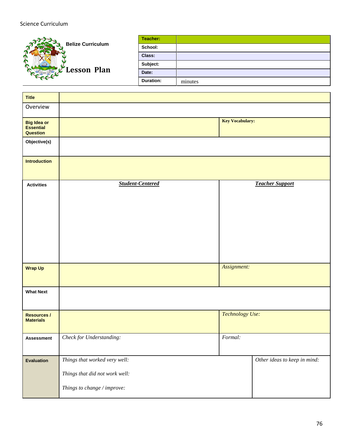

| Teacher:         |         |
|------------------|---------|
| School:          |         |
| Class:           |         |
| Subject:         |         |
| Date:            |         |
| <b>Duration:</b> | minutes |

| <b>Title</b>                                       |                                                                                                |                        |                              |
|----------------------------------------------------|------------------------------------------------------------------------------------------------|------------------------|------------------------------|
| Overview                                           |                                                                                                |                        |                              |
| <b>Big Idea or</b><br><b>Essential</b><br>Question |                                                                                                | <b>Key Vocabulary:</b> |                              |
| Objective(s)                                       |                                                                                                |                        |                              |
| <b>Introduction</b>                                |                                                                                                |                        |                              |
| <b>Activities</b>                                  | <b>Student-Centered</b>                                                                        |                        | <b>Teacher Support</b>       |
| <b>Wrap Up</b>                                     |                                                                                                | Assignment:            |                              |
| <b>What Next</b>                                   |                                                                                                |                        |                              |
| <b>Resources /</b><br><b>Materials</b>             |                                                                                                | Technology Use:        |                              |
| <b>Assessment</b>                                  | Check for Understanding:                                                                       | Formal:                |                              |
| <b>Evaluation</b>                                  | Things that worked very well:<br>Things that did not work well:<br>Things to change / improve: |                        | Other ideas to keep in mind: |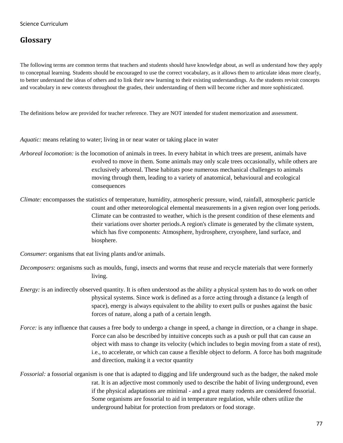# **Glossary**

The following terms are common terms that teachers and students should have knowledge about, as well as understand how they apply to conceptual learning. Students should be encouraged to use the correct vocabulary, as it allows them to articulate ideas more clearly, to better understand the ideas of others and to link their new learning to their existing understandings. As the students revisit concepts and vocabulary in new contexts throughout the grades, their understanding of them will become richer and more sophisticated.

The definitions below are provided for teacher reference. They are NOT intended for student memorization and assessment.

*Aquatic:* means relating to water; living in or near water or taking place in water

- *Arboreal locomotion:* is the locomotion of animals in trees. In every habitat in which trees are present, animals have evolved to move in them. Some animals may only scale trees occasionally, while others are exclusively arboreal. These habitats pose numerous mechanical challenges to animals moving through them, leading to a variety of anatomical, behavioural and ecological consequences
- *Climate:* encompasses the statistics of temperature, humidity, atmospheric pressure, wind, rainfall, atmospheric particle count and other meteorological elemental measurements in a given region over long periods. Climate can be contrasted to weather, which is the present condition of these elements and their variations over shorter periods.A region's climate is generated by the climate system, which has five components: Atmosphere, hydrosphere, cryosphere, land surface, and biosphere.

*Consumer*: organisms that eat living plants and/or animals.

- *Decomposers*: organisms such as moulds, fungi, insects and worms that reuse and recycle materials that were formerly living.
- *Energy:* is an indirectly observed quantity. It is often understood as the ability a physical system has to do work on other physical systems. Since work is defined as a force acting through a distance (a length of space), energy is always equivalent to the ability to exert pulls or pushes against the basic forces of nature, along a path of a certain length.
- *Force:* is any influence that causes a free body to undergo a change in speed, a change in direction, or a change in shape. Force can also be described by intuitive concepts such as a push or pull that can cause an object with mass to change its velocity (which includes to begin moving from a state of rest), i.e., to accelerate, or which can cause a flexible object to deform. A force has both magnitude and direction, making it a vector quantity
- *Fossorial:* a fossorial organism is one that is adapted to digging and life underground such as the badger, the naked mole rat. It is an adjective most commonly used to describe the habit of living underground, even if the physical adaptations are minimal - and a great many rodents are considered fossorial. Some organisms are fossorial to aid in temperature regulation, while others utilize the underground habitat for protection from predators or food storage.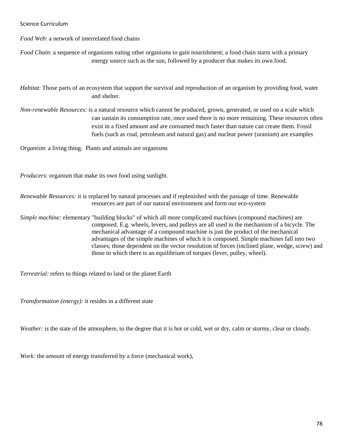*Food Web*: a network of interrelated food chains

*Food Chain*: a sequence of organisms eating other organisms to gain nourishment; a food chain starts with a primary energy source such as the sun, followed by a producer that makes its own food.

*Habitat*: Those parts of an ecosystem that support the survival and reproduction of an organism by providing food, water and shelter.

*Non-renewable Resources:* is a natural resource which cannot be produced, grown, generated, or used on a scale which can sustain its consumption rate, once used there is no more remaining. These resources often exist in a fixed amount and are consumed much faster than nature can create them. Fossil fuels (such as coal, petroleum and natural gas) and nuclear power (uranium) are examples

*Organism*: a living thing. Plants and animals are organisms

*Producers*: organism that make its own food using sunlight.

*Renewable Resources:* it is replaced by natural processes and if replenished with the passage of time. Renewable resources are part of our natural environment and form our eco-system

*Simple machine:* elementary "building blocks" of which all more complicated machines (compound machines) are composed. E.g. wheels, levers, and pulleys are all used in the mechanism of a bicycle. The mechanical advantage of a compound machine is just the product of the mechanical advantages of the simple machines of which it is composed. Simple machines fall into two classes; those dependent on the vector resolution of forces (inclined plane, wedge, screw) and those in which there is an equilibrium of torques (lever, pulley, wheel).

*Terrestrial:* refers to things related to land or the planet Earth

*Transformation (energy):* it resides in a different state

*Weather:* is the state of the atmosphere, to the degree that it is hot or cold, wet or dry, calm or stormy, clear or cloudy.

*Work:* the amount of energy transferred by a force (mechanical work),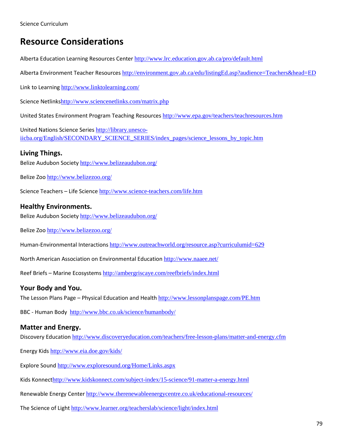# **Resource Considerations**

Alberta Education Learning Resources Center <http://www.lrc.education.gov.ab.ca/pro/default.html>

Alberta Environment Teacher Resources <http://environment.gov.ab.ca/edu/listingEd.asp?audience=Teachers&head=ED>

Link to Learning <http://www.linktolearning.com/>

Science Netlinks<http://www.sciencenetlinks.com/matrix.php>

United States Environment Program Teaching Resources <http://www.epa.gov/teachers/teachresources.htm>

United Nations Science Series [http://library.unesco](http://library.unesco-iicba.org/English/SECONDARY_SCIENCE_SERIES/index_pages/science_lessons_by_topic.htm)[iicba.org/English/SECONDARY\\_SCIENCE\\_SERIES/index\\_pages/science\\_lessons\\_by\\_topic.htm](http://library.unesco-iicba.org/English/SECONDARY_SCIENCE_SERIES/index_pages/science_lessons_by_topic.htm)

#### **Living Things.**

Belize Audubon Society <http://www.belizeaudubon.org/>

Belize Zoo <http://www.belizezoo.org/>

Science Teachers – Life Science <http://www.science-teachers.com/life.htm>

#### **Healthy Environments.**

Belize Audubon Society <http://www.belizeaudubon.org/>

Belize Zoo <http://www.belizezoo.org/>

Human-Environmental Interactions <http://www.outreachworld.org/resource.asp?curriculumid=629>

North American Association on Environmental Education <http://www.naaee.net/>

Reef Briefs – Marine Ecosystems <http://ambergriscaye.com/reefbriefs/index.html>

#### **Your Body and You.**

The Lesson Plans Page – Physical Education and Health <http://www.lessonplanspage.com/PE.htm>

BBC - Human Body <http://www.bbc.co.uk/science/humanbody/>

## **Matter and Energy.**

Discovery Education <http://www.discoveryeducation.com/teachers/free-lesson-plans/matter-and-energy.cfm>

Energy Kids <http://www.eia.doe.gov/kids/>

Explore Sound <http://www.exploresound.org/Home/Links.aspx>

Kids Konnect<http://www.kidskonnect.com/subject-index/15-science/91-matter-a-energy.html>

Renewable Energy Center <http://www.therenewableenergycentre.co.uk/educational-resources/>

The Science of Light <http://www.learner.org/teacherslab/science/light/index.html>